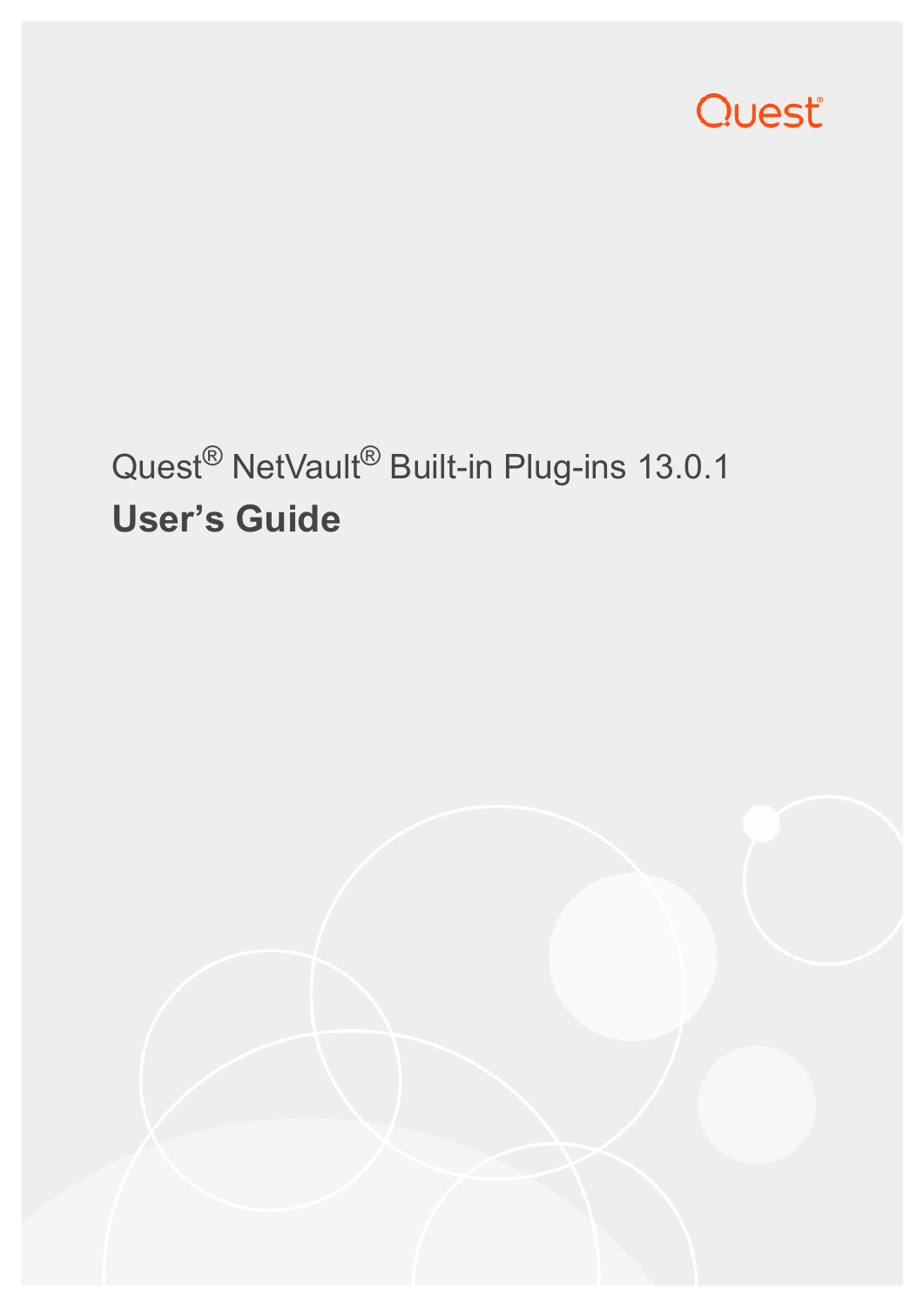

# Quest® NetVault® Built-in Plug-ins 13.0.1 **User's Guide**

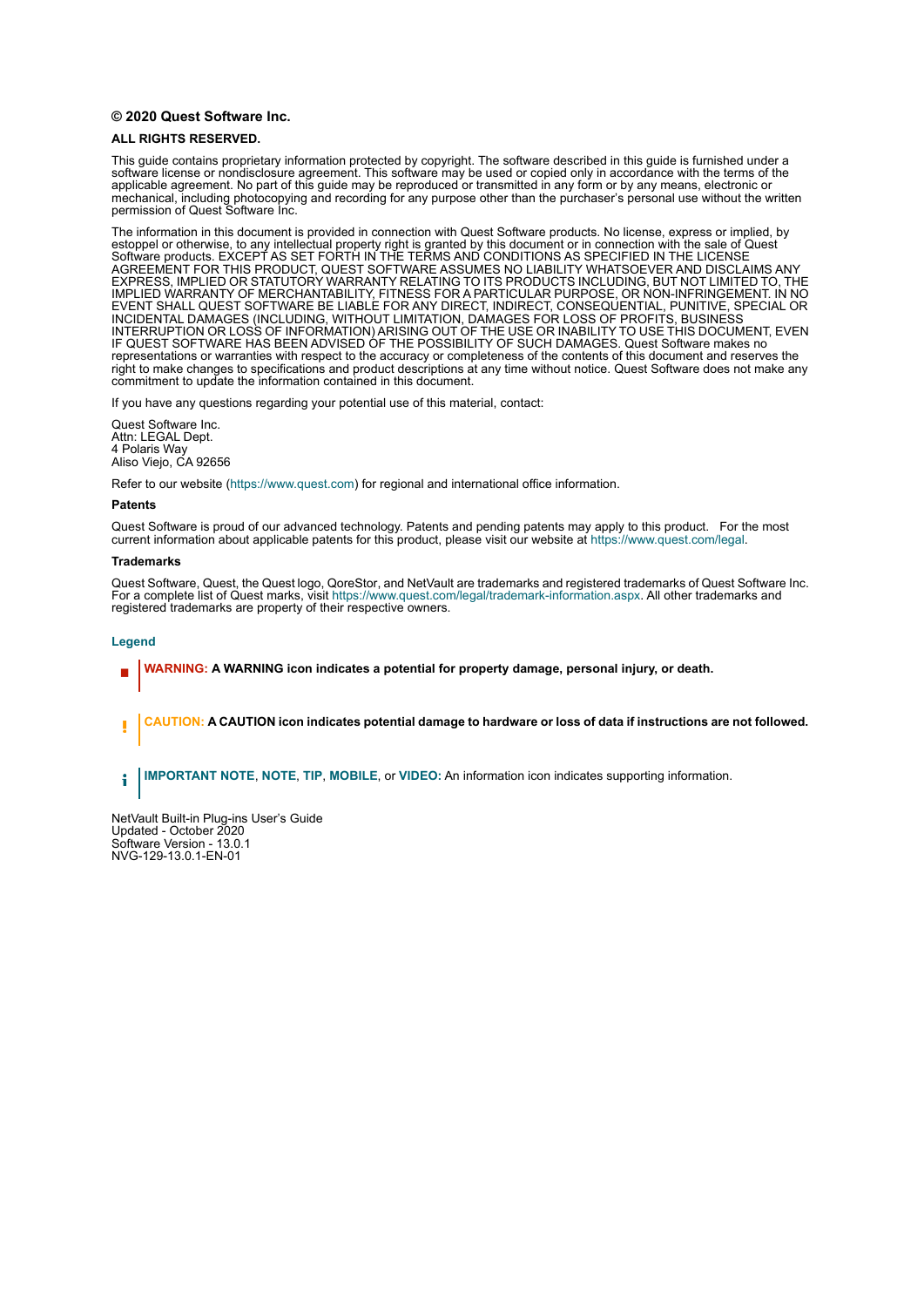#### **© 2020 Quest Software Inc.**

#### **ALL RIGHTS RESERVED.**

This guide contains proprietary information protected by copyright. The software described in this guide is furnished under a software license or nondisclosure agreement. This software may be used or copied only in accordance with the terms of the applicable agreement. No part of this guide may be reproduced or transmitted in any form or by any means, electronic or mechanical, including photocopying and recording for any purpose other than the purchaser's personal use without the written permission of Quest Software Inc.

The information in this document is provided in connection with Quest Software products. No license, express or implied, by estoppel or otherwise, to any intellectual property right is granted by this document or in connection with the sale of Quest<br>Software products. EXCEPT AS SET FORTH IN THE TERMS AND CONDITIONS AS SPECIFIED IN THE LICENSE<br>A EXPRESS, IMPLIED OR STATUTORY WARRANTY RELATING TO ITS PRODUCTS INCLUDING, BUT NOT LIMITED TO, THE IMPLIED WARRANTY OF MERCHANTABILITY, FITNESS FOR A PARTICULAR PURPOSE, OR NON-INFRINGEMENT. IN NO EVENT SHALL QUEST SOFTWARE BE LIABLE FOR ANY DIRECT, INDIRECT, CONSEQUENTIAL, PUNITIVE, SPECIAL OR INCIDENTAL DAMAGES (INCLUDING, WITHOUT LIMITATION, DAMAGES FOR LOSS OF PROFITS, BUSINESS<br>INTERRUPTION OR LOSS OF INFORMATION) ARISING OUT OF THE USE OR INABILITY TO USE THIS DOCUMENT, EVEN IF QUEST SOFTWARE HAS BEEN ADVISED OF THE POSSIBILITY OF SUCH DAMAGES. Quest Software makes no representations or warranties with respect to the accuracy or completeness of the contents of this document and reserves the right to make changes to specifications and product descriptions at any time without notice. Quest Software does not make any commitment to update the information contained in this document.

If you have any questions regarding your potential use of this material, contact:

Quest Software Inc. Attn: LEGAL Dept. 4 Polaris Way Aliso Viejo, CA 92656

Refer to our website [\(https://www.quest.com](https://www.quest.com)) for regional and international office information.

#### **Patents**

Quest Software is proud of our advanced technology. Patents and pending patents may apply to this product. For the most current information about applicable patents for this product, please visit our website at [https://www.quest.com/legal.](https://www.quest.com/legal)

#### **Trademarks**

Quest Software, Quest, the Quest logo, QoreStor, and NetVault are trademarks and registered trademarks of Quest Software Inc. For a complete list of Quest marks, visit [https://www.quest.com/legal/trademark-information.aspx.](https://www.quest.com/legal/trademark-information.aspx) All other trademarks and registered trademarks are property of their respective owners.

#### **Legend**

- **WARNING: A WARNING icon indicates a potential for property damage, personal injury, or death.**
- **CAUTION: A CAUTION icon indicates potential damage to hardware or loss of data if instructions are not followed.** Ţ

**IMPORTANT NOTE**, **NOTE**, **TIP**, **MOBILE**, or **VIDEO:** An information icon indicates supporting information.f.

NetVault Built-in Plug-ins User's Guide Updated - October 2020 Software Version - 13.0.1 NVG-129-13.0.1-EN-01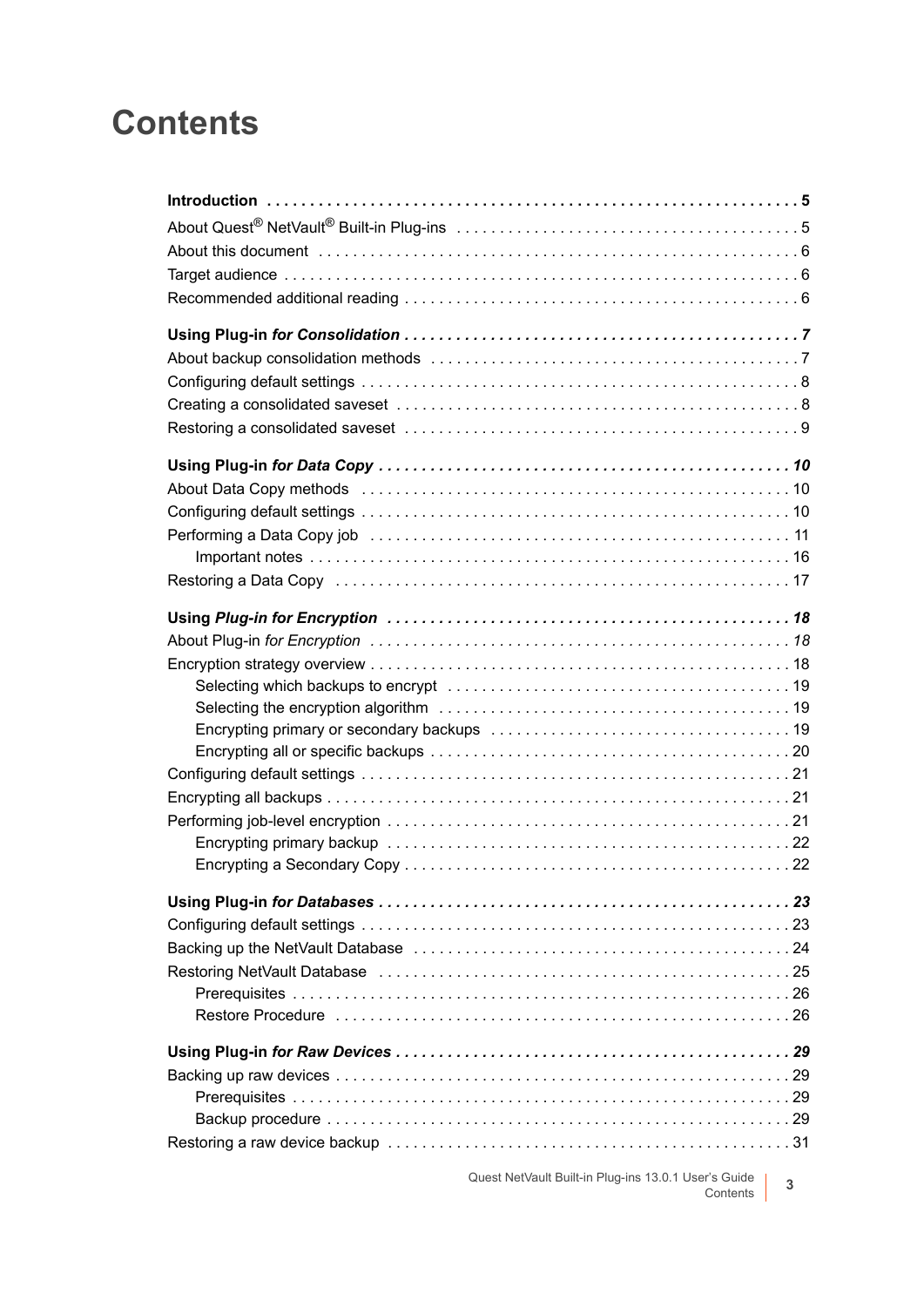### **Contents**

| About Data Copy methods (and all contained according to the About Data Copy methods (a) and the contained a subset of $10$ |
|----------------------------------------------------------------------------------------------------------------------------|
|                                                                                                                            |
|                                                                                                                            |
|                                                                                                                            |
| Restoring a Data Copy (and all and all and all and all and all and all and all and all and all and all and all a           |
|                                                                                                                            |
|                                                                                                                            |
|                                                                                                                            |
|                                                                                                                            |
|                                                                                                                            |
|                                                                                                                            |
|                                                                                                                            |
|                                                                                                                            |
|                                                                                                                            |
|                                                                                                                            |
|                                                                                                                            |
|                                                                                                                            |
|                                                                                                                            |
|                                                                                                                            |
|                                                                                                                            |
|                                                                                                                            |
|                                                                                                                            |
|                                                                                                                            |
|                                                                                                                            |
|                                                                                                                            |
|                                                                                                                            |
|                                                                                                                            |
|                                                                                                                            |

Quest NetVault Built-in Plug-ins 13.0.1 User's Guide Contents **<sup>3</sup>**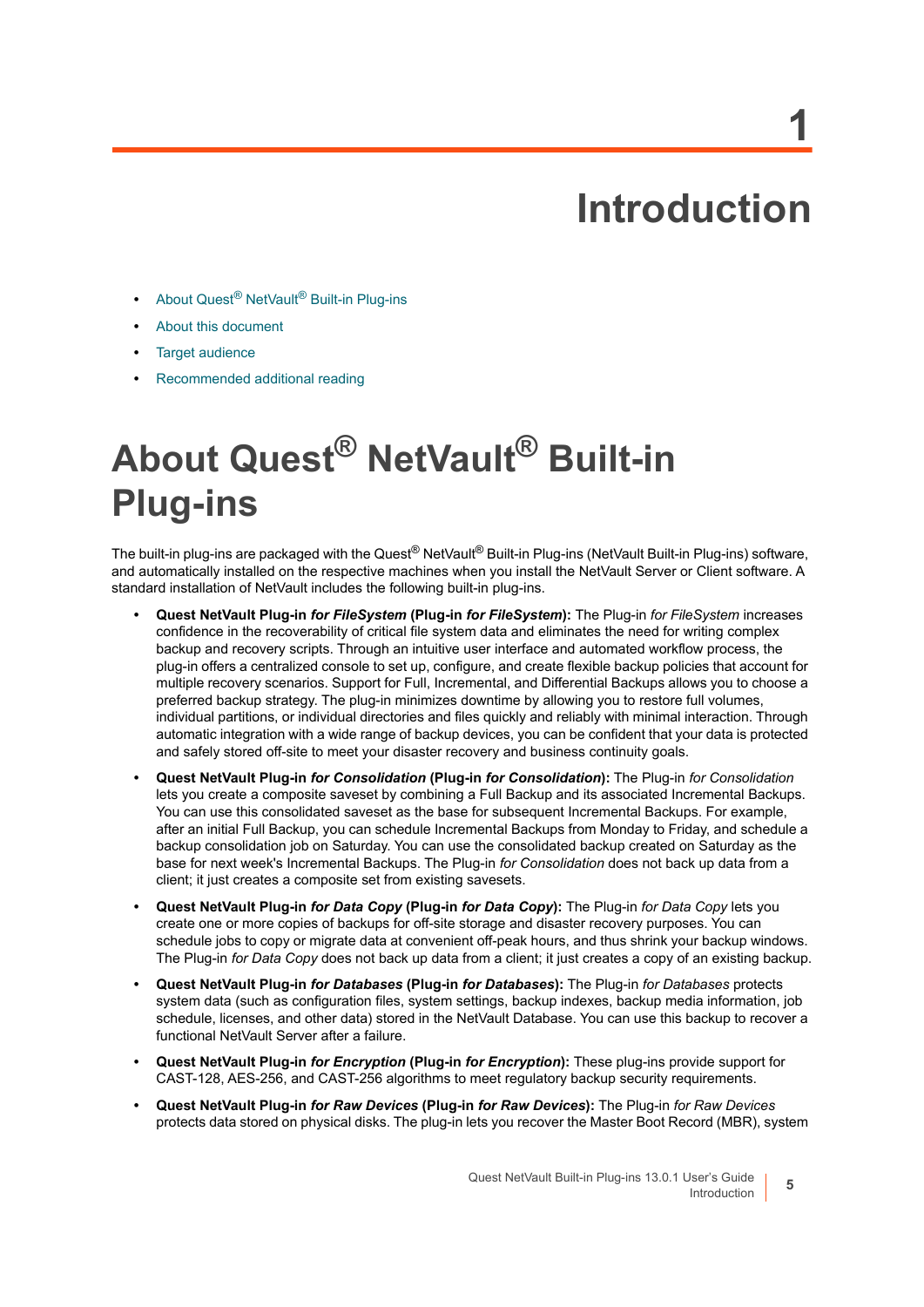## **Introduction**

**1**

- <span id="page-4-0"></span>**•** About Quest[® NetVault® Built-in Plug-ins](#page-4-1)
- **•** [About this document](#page-5-0)
- **•** [Target audience](#page-5-1)
- **•** [Recommended additional reading](#page-5-2)

# <span id="page-4-1"></span>**About Quest® NetVault® Built-in Plug-ins**

The built-in plug-ins are packaged with the Quest<sup>®</sup> NetVault<sup>®</sup> Built-in Plug-ins (NetVault Built-in Plug-ins) software, and automatically installed on the respective machines when you install the NetVault Server or Client software. A standard installation of NetVault includes the following built-in plug-ins.

- **Quest NetVault Plug-in** *for FileSystem* **(Plug-in** *for FileSystem***):** The Plug-in *for FileSystem* increases confidence in the recoverability of critical file system data and eliminates the need for writing complex backup and recovery scripts. Through an intuitive user interface and automated workflow process, the plug-in offers a centralized console to set up, configure, and create flexible backup policies that account for multiple recovery scenarios. Support for Full, Incremental, and Differential Backups allows you to choose a preferred backup strategy. The plug-in minimizes downtime by allowing you to restore full volumes, individual partitions, or individual directories and files quickly and reliably with minimal interaction. Through automatic integration with a wide range of backup devices, you can be confident that your data is protected and safely stored off-site to meet your disaster recovery and business continuity goals.
- **Quest NetVault Plug-in** *for Consolidation* **(Plug-in** *for Consolidation***):** The Plug-in *for Consolidation* lets you create a composite saveset by combining a Full Backup and its associated Incremental Backups. You can use this consolidated saveset as the base for subsequent Incremental Backups. For example, after an initial Full Backup, you can schedule Incremental Backups from Monday to Friday, and schedule a backup consolidation job on Saturday. You can use the consolidated backup created on Saturday as the base for next week's Incremental Backups. The Plug-in *for Consolidation* does not back up data from a client; it just creates a composite set from existing savesets.
- **Quest NetVault Plug-in** *for Data Copy* **(Plug-in** *for Data Copy***):** The Plug-in *for Data Copy* lets you create one or more copies of backups for off-site storage and disaster recovery purposes. You can schedule jobs to copy or migrate data at convenient off-peak hours, and thus shrink your backup windows. The Plug-in *for Data Copy* does not back up data from a client; it just creates a copy of an existing backup.
- **Quest NetVault Plug-in** *for Databases* **(Plug-in** *for Databases***):** The Plug-in *for Databases* protects system data (such as configuration files, system settings, backup indexes, backup media information, job schedule, licenses, and other data) stored in the NetVault Database. You can use this backup to recover a functional NetVault Server after a failure.
- **Quest NetVault Plug-in** *for Encryption* **(Plug-in** *for Encryption***):** These plug-ins provide support for CAST-128, AES-256, and CAST-256 algorithms to meet regulatory backup security requirements.
- **Quest NetVault Plug-in** *for Raw Devices* **(Plug-in** *for Raw Devices***):** The Plug-in *for Raw Devices* protects data stored on physical disks. The plug-in lets you recover the Master Boot Record (MBR), system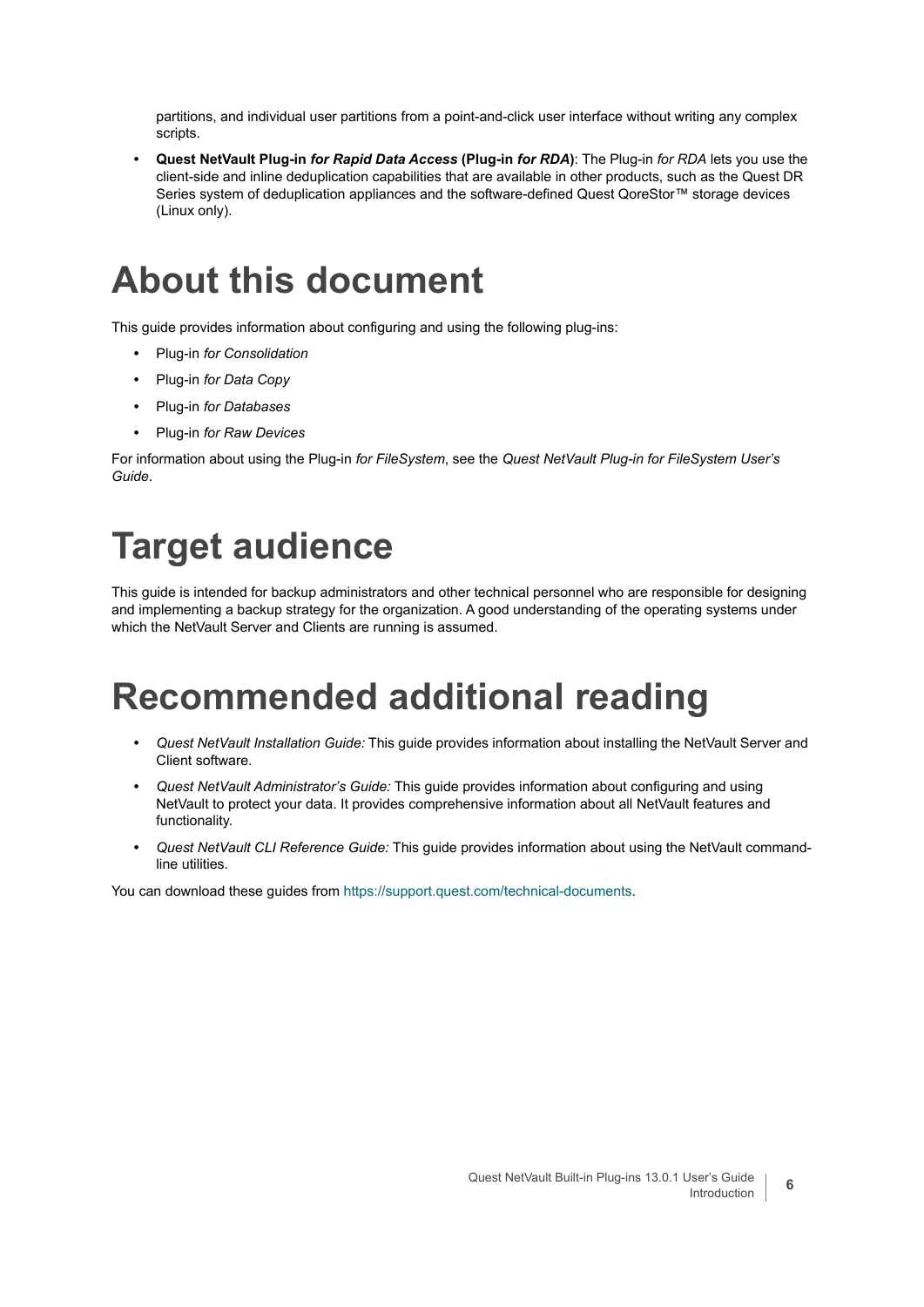partitions, and individual user partitions from a point-and-click user interface without writing any complex scripts.

**• Quest NetVault Plug-in** *for Rapid Data Access* **(Plug-in** *for RDA***)**: The Plug-in *for RDA* lets you use the client-side and inline deduplication capabilities that are available in other products, such as the Quest DR Series system of deduplication appliances and the software-defined Quest QoreStor™ storage devices (Linux only).

### <span id="page-5-0"></span>**About this document**

This guide provides information about configuring and using the following plug-ins:

- **•** Plug-in *for Consolidation*
- **•** Plug-in *for Data Copy*
- **•** Plug-in *for Databases*
- **•** Plug-in *for Raw Devices*

For information about using the Plug-in *for FileSystem*, see the *Quest NetVault Plug-in for FileSystem User's Guide*.

## <span id="page-5-1"></span>**Target audience**

This guide is intended for backup administrators and other technical personnel who are responsible for designing and implementing a backup strategy for the organization. A good understanding of the operating systems under which the NetVault Server and Clients are running is assumed.

### <span id="page-5-2"></span>**Recommended additional reading**

- **•** *Quest NetVault Installation Guide:* This guide provides information about installing the NetVault Server and Client software.
- **•** *Quest NetVault Administrator's Guide:* This guide provides information about configuring and using NetVault to protect your data. It provides comprehensive information about all NetVault features and functionality.
- **•** *Quest NetVault CLI Reference Guide:* This guide provides information about using the NetVault commandline utilities.

You can download these guides from <https://support.quest.com/technical-documents>.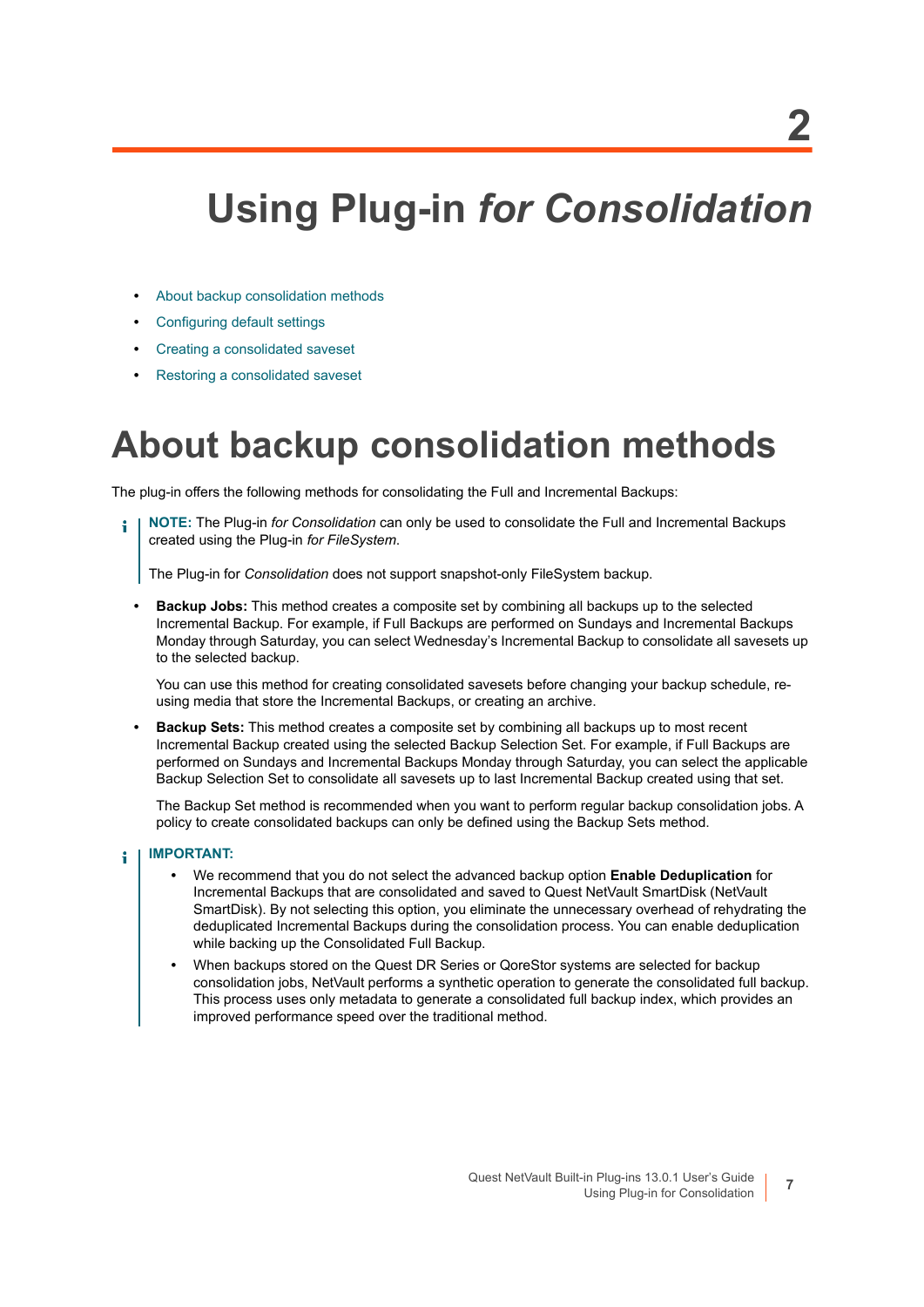# <span id="page-6-0"></span>**Using Plug-in** *for Consolidation*

- **•** [About backup consolidation methods](#page-6-1)
- **•** [Configuring default settings](#page-7-0)
- **•** [Creating a consolidated saveset](#page-7-1)
- **•** [Restoring a consolidated saveset](#page-8-0)

### <span id="page-6-1"></span>**About backup consolidation methods**

The plug-in offers the following methods for consolidating the Full and Incremental Backups:

**NOTE:** The Plug-in *for Consolidation* can only be used to consolidate the Full and Incremental Backups created using the Plug-in *for FileSystem*.

The Plug-in for *Consolidation* does not support snapshot-only FileSystem backup.

**• Backup Jobs:** This method creates a composite set by combining all backups up to the selected Incremental Backup. For example, if Full Backups are performed on Sundays and Incremental Backups Monday through Saturday, you can select Wednesday's Incremental Backup to consolidate all savesets up to the selected backup.

You can use this method for creating consolidated savesets before changing your backup schedule, reusing media that store the Incremental Backups, or creating an archive.

**• Backup Sets:** This method creates a composite set by combining all backups up to most recent Incremental Backup created using the selected Backup Selection Set. For example, if Full Backups are performed on Sundays and Incremental Backups Monday through Saturday, you can select the applicable Backup Selection Set to consolidate all savesets up to last Incremental Backup created using that set.

The Backup Set method is recommended when you want to perform regular backup consolidation jobs. A policy to create consolidated backups can only be defined using the Backup Sets method.

#### **IMPORTANT:**  f.

- **•** We recommend that you do not select the advanced backup option **Enable Deduplication** for Incremental Backups that are consolidated and saved to Quest NetVault SmartDisk (NetVault SmartDisk). By not selecting this option, you eliminate the unnecessary overhead of rehydrating the deduplicated Incremental Backups during the consolidation process. You can enable deduplication while backing up the Consolidated Full Backup.
- **•** When backups stored on the Quest DR Series or QoreStor systems are selected for backup consolidation jobs, NetVault performs a synthetic operation to generate the consolidated full backup. This process uses only metadata to generate a consolidated full backup index, which provides an improved performance speed over the traditional method.

**7**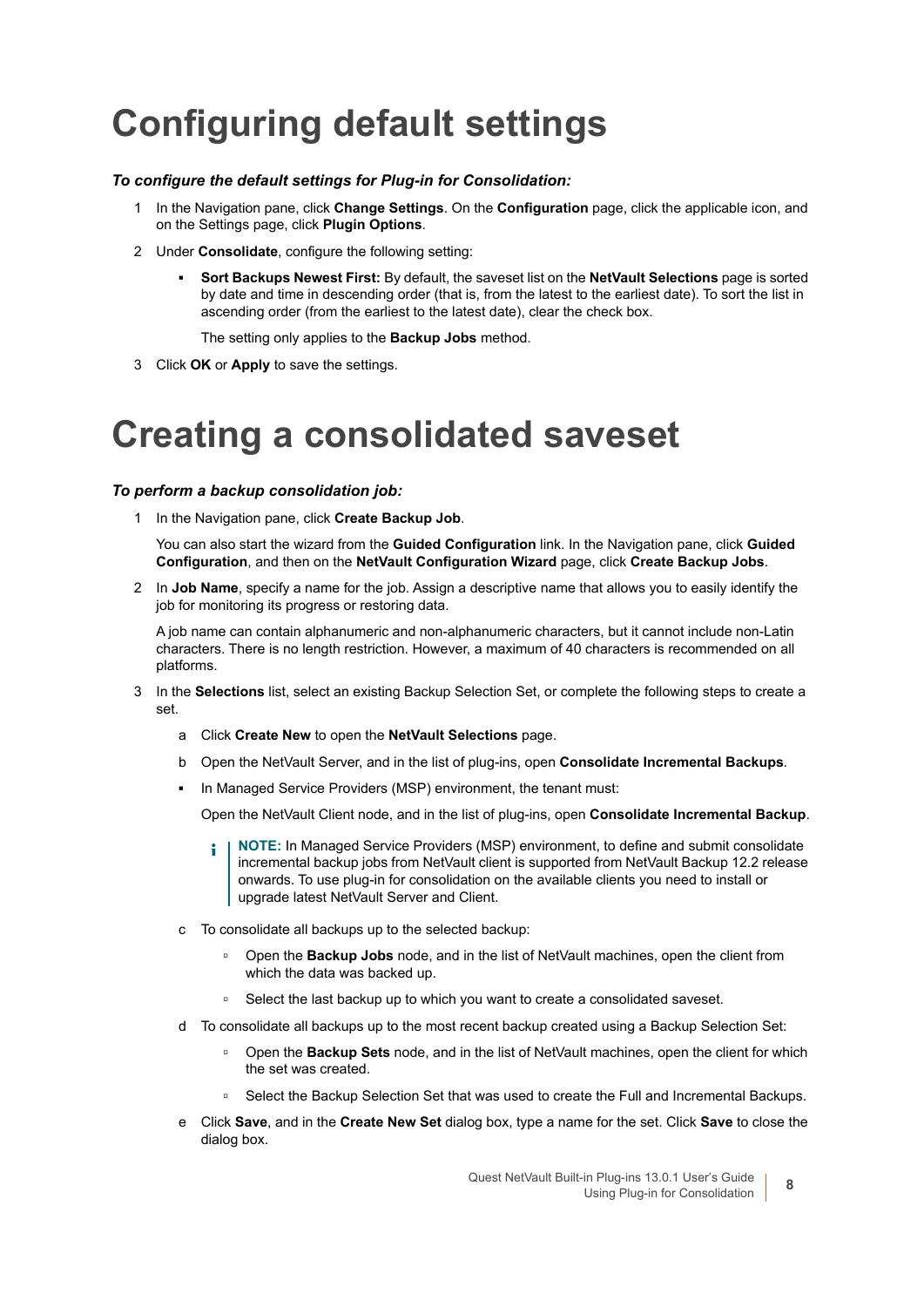## <span id="page-7-0"></span>**Configuring default settings**

#### *To configure the default settings for Plug-in for Consolidation:*

- 1 In the Navigation pane, click **Change Settings**. On the **Configuration** page, click the applicable icon, and on the Settings page, click **Plugin Options**.
- 2 Under **Consolidate**, configure the following setting:
	- **▪ Sort Backups Newest First:** By default, the saveset list on the **NetVault Selections** page is sorted by date and time in descending order (that is, from the latest to the earliest date). To sort the list in ascending order (from the earliest to the latest date), clear the check box.

The setting only applies to the **Backup Jobs** method.

3 Click **OK** or **Apply** to save the settings.

## <span id="page-7-1"></span>**Creating a consolidated saveset**

### *To perform a backup consolidation job:*

1 In the Navigation pane, click **Create Backup Job**.

You can also start the wizard from the **Guided Configuration** link. In the Navigation pane, click **Guided Configuration**, and then on the **NetVault Configuration Wizard** page, click **Create Backup Jobs**.

2 In **Job Name**, specify a name for the job. Assign a descriptive name that allows you to easily identify the job for monitoring its progress or restoring data.

A job name can contain alphanumeric and non-alphanumeric characters, but it cannot include non-Latin characters. There is no length restriction. However, a maximum of 40 characters is recommended on all platforms.

- 3 In the **Selections** list, select an existing Backup Selection Set, or complete the following steps to create a set.
	- a Click **Create New** to open the **NetVault Selections** page.
	- b Open the NetVault Server, and in the list of plug-ins, open **Consolidate Incremental Backups**.
	- **▪** In Managed Service Providers (MSP) environment, the tenant must:

Open the NetVault Client node, and in the list of plug-ins, open **Consolidate Incremental Backup**.

- **NOTE:** In Managed Service Providers (MSP) environment, to define and submit consolidate incremental backup jobs from NetVault client is supported from NetVault Backup 12.2 release onwards. To use plug-in for consolidation on the available clients you need to install or upgrade latest NetVault Server and Client.
- c To consolidate all backups up to the selected backup:
	- **▫** Open the **Backup Jobs** node, and in the list of NetVault machines, open the client from which the data was backed up.
	- **▫** Select the last backup up to which you want to create a consolidated saveset.
- d To consolidate all backups up to the most recent backup created using a Backup Selection Set:
	- **▫** Open the **Backup Sets** node, and in the list of NetVault machines, open the client for which the set was created.
	- **▫** Select the Backup Selection Set that was used to create the Full and Incremental Backups.
- e Click **Save**, and in the **Create New Set** dialog box, type a name for the set. Click **Save** to close the dialog box.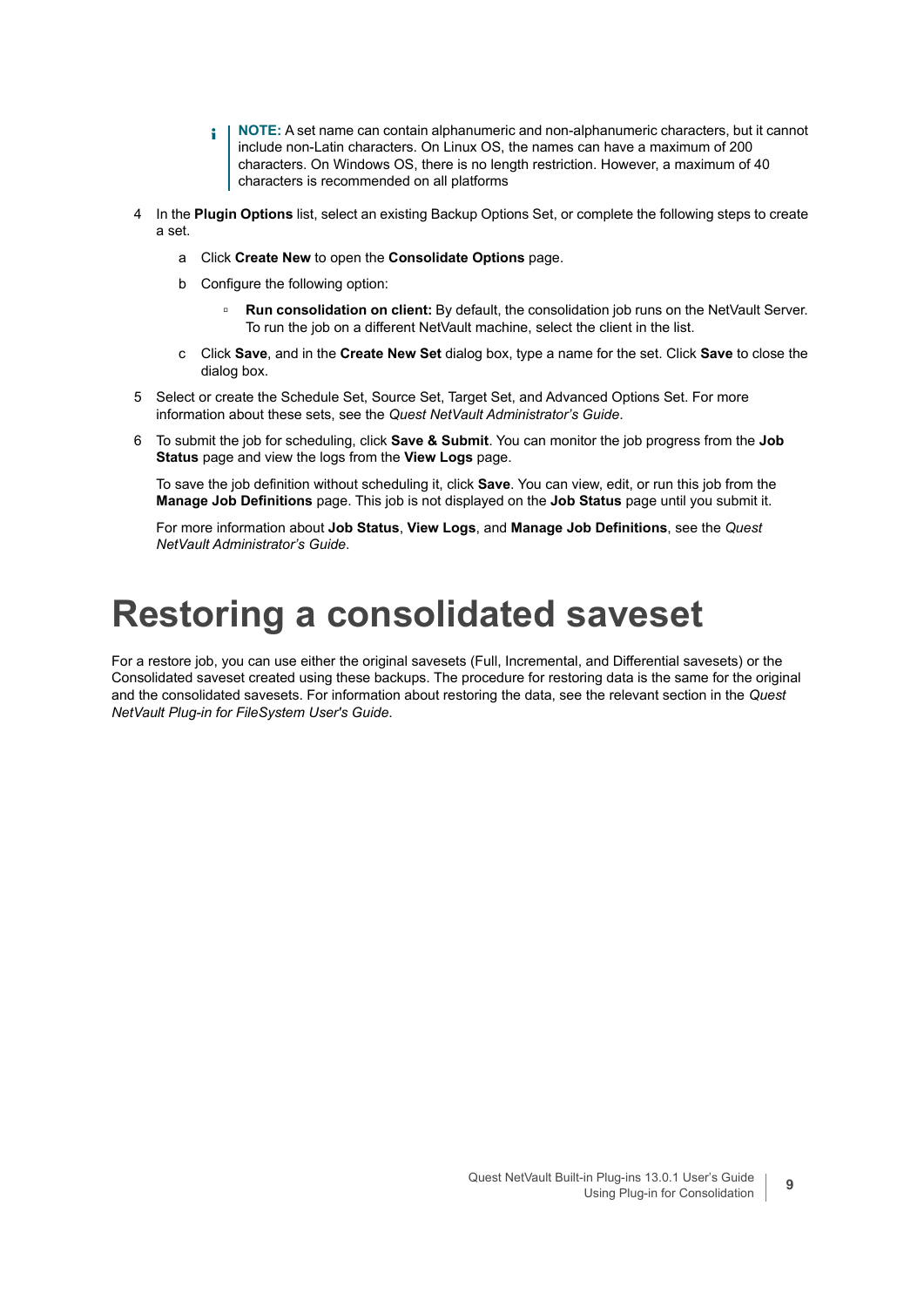- **NOTE:** A set name can contain alphanumeric and non-alphanumeric characters, but it cannot ÷ include non-Latin characters. On Linux OS, the names can have a maximum of 200 characters. On Windows OS, there is no length restriction. However, a maximum of 40 characters is recommended on all platforms
- 4 In the **Plugin Options** list, select an existing Backup Options Set, or complete the following steps to create a set.
	- a Click **Create New** to open the **Consolidate Options** page.
	- b Configure the following option:
		- **▫ Run consolidation on client:** By default, the consolidation job runs on the NetVault Server. To run the job on a different NetVault machine, select the client in the list.
	- c Click **Save**, and in the **Create New Set** dialog box, type a name for the set. Click **Save** to close the dialog box.
- 5 Select or create the Schedule Set, Source Set, Target Set, and Advanced Options Set. For more information about these sets, see the *Quest NetVault Administrator's Guide*.
- 6 To submit the job for scheduling, click **Save & Submit**. You can monitor the job progress from the **Job Status** page and view the logs from the **View Logs** page.

To save the job definition without scheduling it, click **Save**. You can view, edit, or run this job from the **Manage Job Definitions** page. This job is not displayed on the **Job Status** page until you submit it.

For more information about **Job Status**, **View Logs**, and **Manage Job Definitions**, see the *Quest NetVault Administrator's Guide*.

### <span id="page-8-0"></span>**Restoring a consolidated saveset**

For a restore job, you can use either the original savesets (Full, Incremental, and Differential savesets) or the Consolidated saveset created using these backups. The procedure for restoring data is the same for the original and the consolidated savesets. For information about restoring the data, see the relevant section in the *Quest NetVault Plug-in for FileSystem User's Guide*.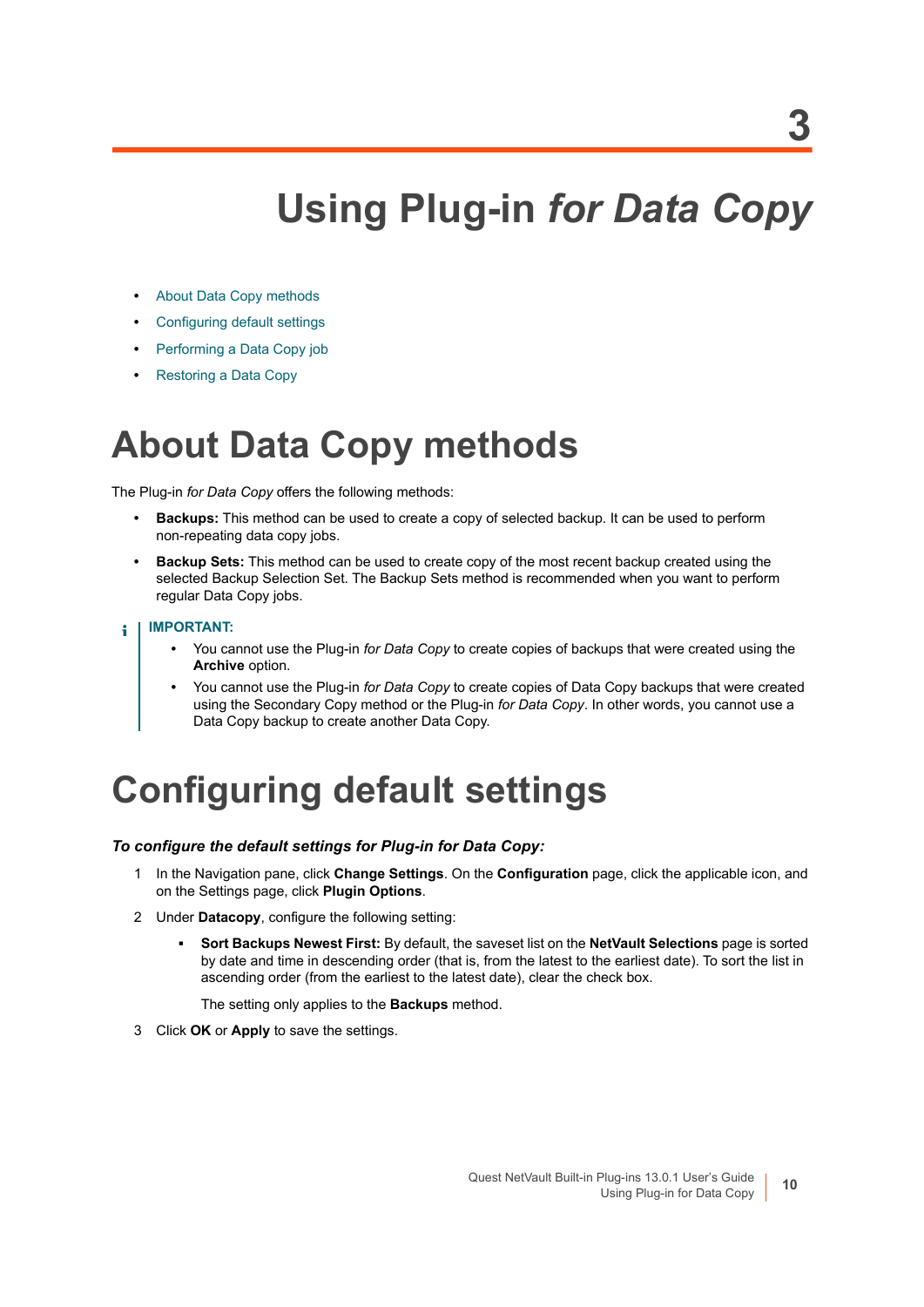## **Using Plug-in** *for Data Copy*

- <span id="page-9-0"></span>**•** [About Data Copy methods](#page-9-1)
- **•** [Configuring default settings](#page-9-2)
- **•** [Performing a Data Copy job](#page-10-0)
- **•** [Restoring a Data Copy](#page-16-0)

### <span id="page-9-1"></span>**About Data Copy methods**

The Plug-in *for Data Copy* offers the following methods:

- **Backups:** This method can be used to create a copy of selected backup. It can be used to perform non-repeating data copy jobs.
- **Backup Sets:** This method can be used to create copy of the most recent backup created using the selected Backup Selection Set. The Backup Sets method is recommended when you want to perform regular Data Copy jobs.

#### **IMPORTANT:**  ÷

- **•** You cannot use the Plug-in *for Data Copy* to create copies of backups that were created using the **Archive** option.
- **•** You cannot use the Plug-in *for Data Copy* to create copies of Data Copy backups that were created using the Secondary Copy method or the Plug-in *for Data Copy*. In other words, you cannot use a Data Copy backup to create another Data Copy.

## <span id="page-9-2"></span>**Configuring default settings**

#### *To configure the default settings for Plug-in for Data Copy:*

- 1 In the Navigation pane, click **Change Settings**. On the **Configuration** page, click the applicable icon, and on the Settings page, click **Plugin Options**.
- 2 Under **Datacopy**, configure the following setting:
	- **▪ Sort Backups Newest First:** By default, the saveset list on the **NetVault Selections** page is sorted by date and time in descending order (that is, from the latest to the earliest date). To sort the list in ascending order (from the earliest to the latest date), clear the check box.

The setting only applies to the **Backups** method.

3 Click **OK** or **Apply** to save the settings.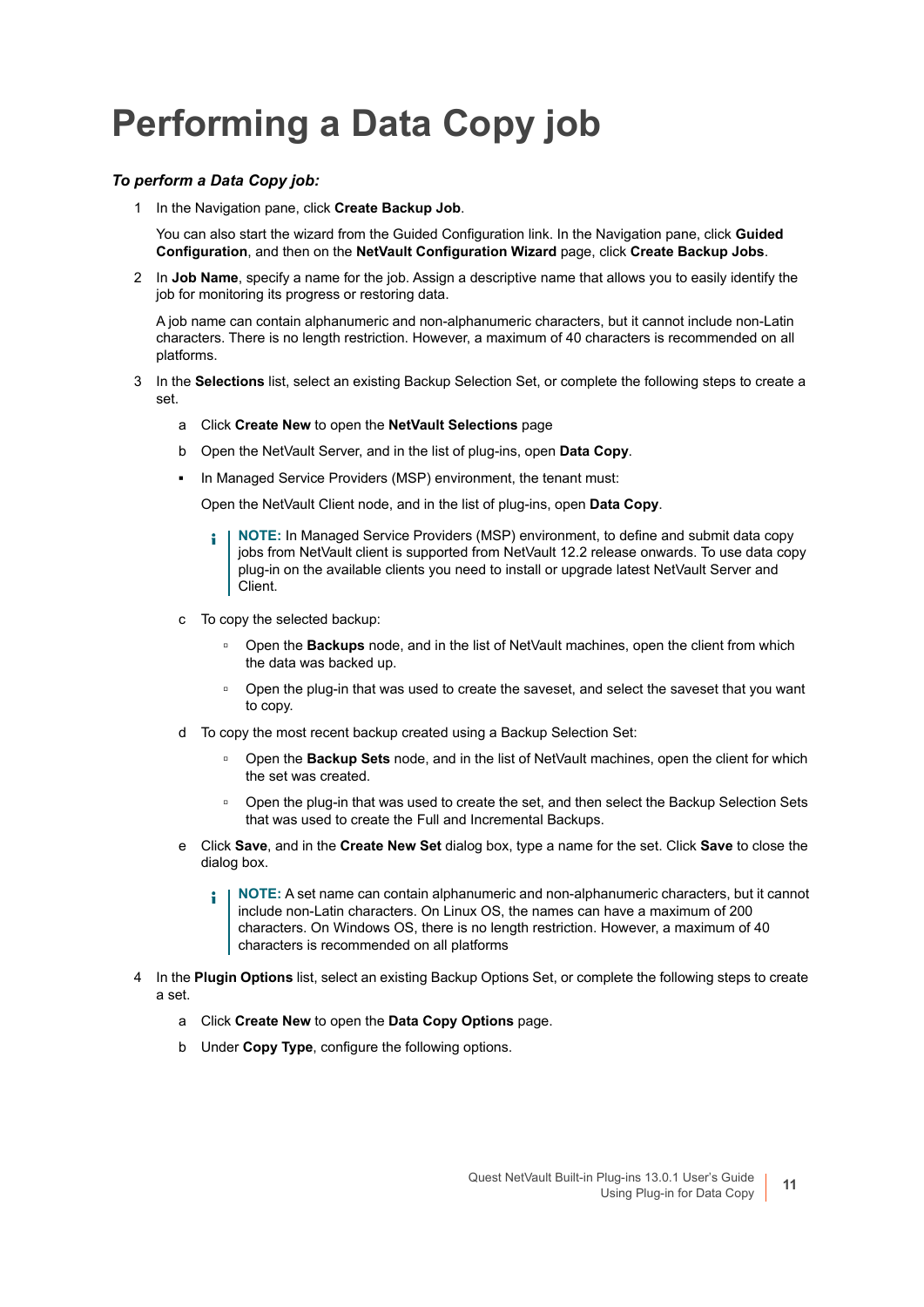## <span id="page-10-0"></span>**Performing a Data Copy job**

### *To perform a Data Copy job:*

1 In the Navigation pane, click **Create Backup Job**.

You can also start the wizard from the Guided Configuration link. In the Navigation pane, click **Guided Configuration**, and then on the **NetVault Configuration Wizard** page, click **Create Backup Jobs**.

2 In **Job Name**, specify a name for the job. Assign a descriptive name that allows you to easily identify the job for monitoring its progress or restoring data.

A job name can contain alphanumeric and non-alphanumeric characters, but it cannot include non-Latin characters. There is no length restriction. However, a maximum of 40 characters is recommended on all platforms.

- 3 In the **Selections** list, select an existing Backup Selection Set, or complete the following steps to create a set.
	- a Click **Create New** to open the **NetVault Selections** page
	- b Open the NetVault Server, and in the list of plug-ins, open **Data Copy**.
	- **▪** In Managed Service Providers (MSP) environment, the tenant must:

Open the NetVault Client node, and in the list of plug-ins, open **Data Copy**.

- **NOTE:** In Managed Service Providers (MSP) environment, to define and submit data copy ÷ jobs from NetVault client is supported from NetVault 12.2 release onwards. To use data copy plug-in on the available clients you need to install or upgrade latest NetVault Server and Client.
- c To copy the selected backup:
	- **▫** Open the **Backups** node, and in the list of NetVault machines, open the client from which the data was backed up.
	- **▫** Open the plug-in that was used to create the saveset, and select the saveset that you want to copy.
- d To copy the most recent backup created using a Backup Selection Set:
	- **▫** Open the **Backup Sets** node, and in the list of NetVault machines, open the client for which the set was created.
	- **□** Open the plug-in that was used to create the set, and then select the Backup Selection Sets that was used to create the Full and Incremental Backups.
- e Click **Save**, and in the **Create New Set** dialog box, type a name for the set. Click **Save** to close the dialog box.
	- **NOTE:** A set name can contain alphanumeric and non-alphanumeric characters, but it cannot ÷ include non-Latin characters. On Linux OS, the names can have a maximum of 200 characters. On Windows OS, there is no length restriction. However, a maximum of 40 characters is recommended on all platforms
- 4 In the **Plugin Options** list, select an existing Backup Options Set, or complete the following steps to create a set.
	- a Click **Create New** to open the **Data Copy Options** page.
	- b Under **Copy Type**, configure the following options.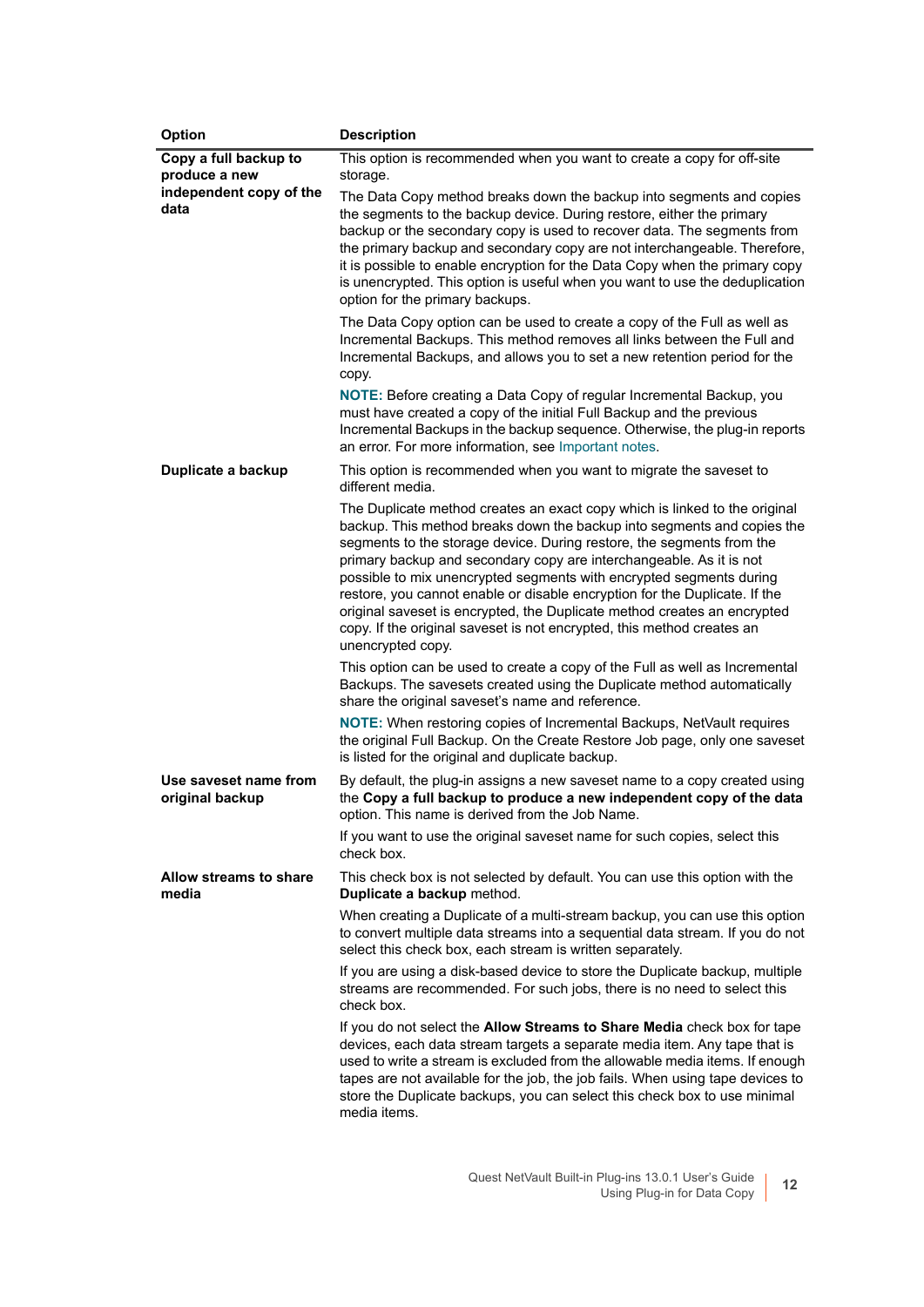| Option                                   | <b>Description</b>                                                                                                                                                                                                                                                                                                                                                                                                                                                                                                                                                                                                                    |
|------------------------------------------|---------------------------------------------------------------------------------------------------------------------------------------------------------------------------------------------------------------------------------------------------------------------------------------------------------------------------------------------------------------------------------------------------------------------------------------------------------------------------------------------------------------------------------------------------------------------------------------------------------------------------------------|
| Copy a full backup to<br>produce a new   | This option is recommended when you want to create a copy for off-site<br>storage.                                                                                                                                                                                                                                                                                                                                                                                                                                                                                                                                                    |
| independent copy of the<br>data          | The Data Copy method breaks down the backup into segments and copies<br>the segments to the backup device. During restore, either the primary<br>backup or the secondary copy is used to recover data. The segments from<br>the primary backup and secondary copy are not interchangeable. Therefore,<br>it is possible to enable encryption for the Data Copy when the primary copy<br>is unencrypted. This option is useful when you want to use the deduplication<br>option for the primary backups.                                                                                                                               |
|                                          | The Data Copy option can be used to create a copy of the Full as well as<br>Incremental Backups. This method removes all links between the Full and<br>Incremental Backups, and allows you to set a new retention period for the<br>copy.                                                                                                                                                                                                                                                                                                                                                                                             |
|                                          | <b>NOTE:</b> Before creating a Data Copy of regular Incremental Backup, you<br>must have created a copy of the initial Full Backup and the previous<br>Incremental Backups in the backup sequence. Otherwise, the plug-in reports<br>an error. For more information, see Important notes.                                                                                                                                                                                                                                                                                                                                             |
| Duplicate a backup                       | This option is recommended when you want to migrate the saveset to<br>different media.                                                                                                                                                                                                                                                                                                                                                                                                                                                                                                                                                |
|                                          | The Duplicate method creates an exact copy which is linked to the original<br>backup. This method breaks down the backup into segments and copies the<br>segments to the storage device. During restore, the segments from the<br>primary backup and secondary copy are interchangeable. As it is not<br>possible to mix unencrypted segments with encrypted segments during<br>restore, you cannot enable or disable encryption for the Duplicate. If the<br>original saveset is encrypted, the Duplicate method creates an encrypted<br>copy. If the original saveset is not encrypted, this method creates an<br>unencrypted copy. |
|                                          | This option can be used to create a copy of the Full as well as Incremental<br>Backups. The savesets created using the Duplicate method automatically<br>share the original saveset's name and reference.                                                                                                                                                                                                                                                                                                                                                                                                                             |
|                                          | <b>NOTE:</b> When restoring copies of Incremental Backups, NetVault requires<br>the original Full Backup. On the Create Restore Job page, only one saveset<br>is listed for the original and duplicate backup.                                                                                                                                                                                                                                                                                                                                                                                                                        |
| Use saveset name from<br>original backup | By default, the plug-in assigns a new saveset name to a copy created using<br>the Copy a full backup to produce a new independent copy of the data<br>option. This name is derived from the Job Name.                                                                                                                                                                                                                                                                                                                                                                                                                                 |
|                                          | If you want to use the original saveset name for such copies, select this<br>check box.                                                                                                                                                                                                                                                                                                                                                                                                                                                                                                                                               |
| Allow streams to share<br>media          | This check box is not selected by default. You can use this option with the<br>Duplicate a backup method.                                                                                                                                                                                                                                                                                                                                                                                                                                                                                                                             |
|                                          | When creating a Duplicate of a multi-stream backup, you can use this option<br>to convert multiple data streams into a sequential data stream. If you do not<br>select this check box, each stream is written separately.                                                                                                                                                                                                                                                                                                                                                                                                             |
|                                          | If you are using a disk-based device to store the Duplicate backup, multiple<br>streams are recommended. For such jobs, there is no need to select this<br>check box.                                                                                                                                                                                                                                                                                                                                                                                                                                                                 |
|                                          | If you do not select the Allow Streams to Share Media check box for tape<br>devices, each data stream targets a separate media item. Any tape that is<br>used to write a stream is excluded from the allowable media items. If enough<br>tapes are not available for the job, the job fails. When using tape devices to<br>store the Duplicate backups, you can select this check box to use minimal<br>media items.                                                                                                                                                                                                                  |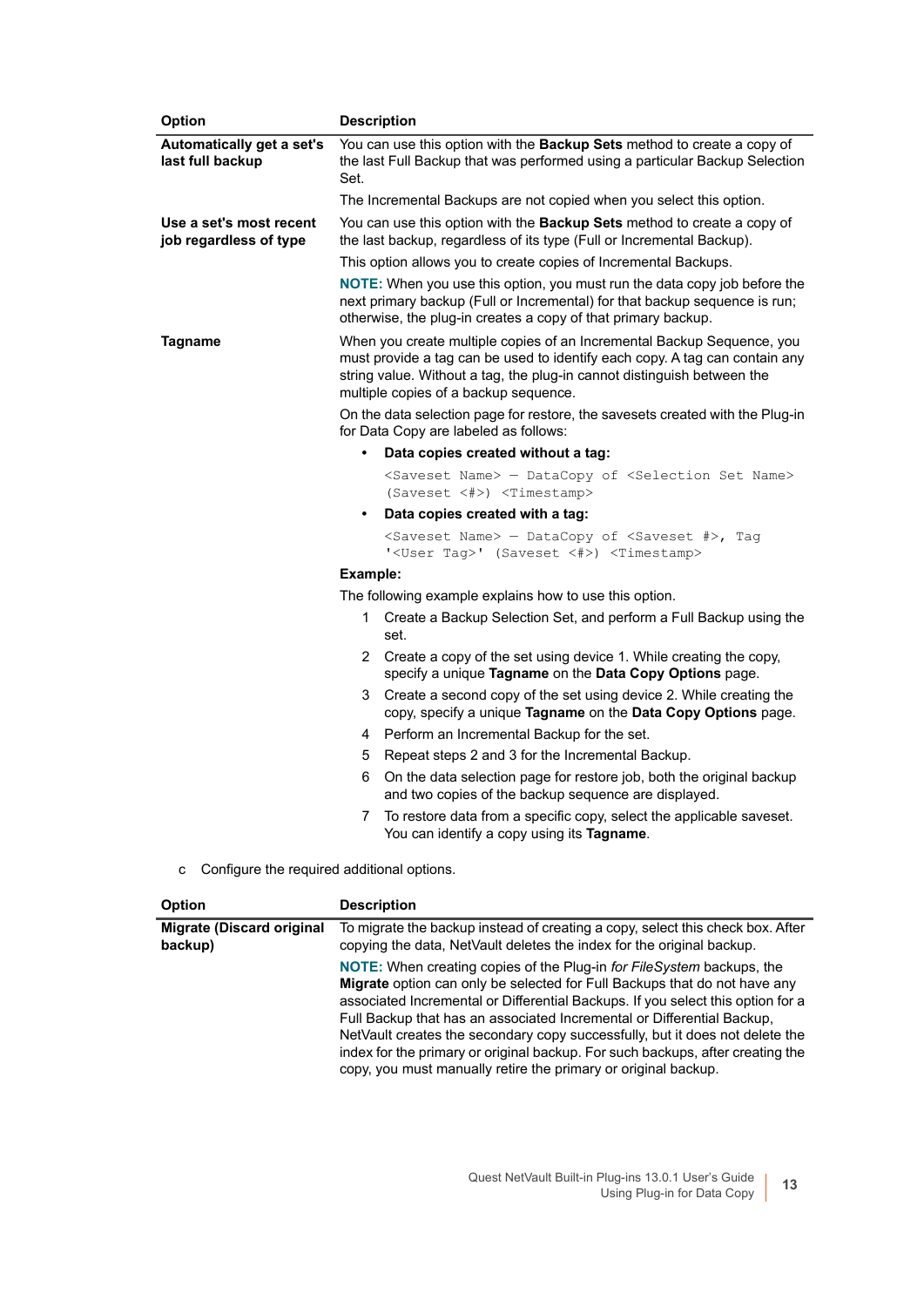| Option                                            | <b>Description</b>                                                                                                                                                                                                                                                        |
|---------------------------------------------------|---------------------------------------------------------------------------------------------------------------------------------------------------------------------------------------------------------------------------------------------------------------------------|
| Automatically get a set's<br>last full backup     | You can use this option with the Backup Sets method to create a copy of<br>the last Full Backup that was performed using a particular Backup Selection<br>Set.                                                                                                            |
|                                                   | The Incremental Backups are not copied when you select this option.                                                                                                                                                                                                       |
| Use a set's most recent<br>job regardless of type | You can use this option with the Backup Sets method to create a copy of<br>the last backup, regardless of its type (Full or Incremental Backup).                                                                                                                          |
|                                                   | This option allows you to create copies of Incremental Backups.                                                                                                                                                                                                           |
|                                                   | NOTE: When you use this option, you must run the data copy job before the<br>next primary backup (Full or Incremental) for that backup sequence is run;<br>otherwise, the plug-in creates a copy of that primary backup.                                                  |
| Tagname                                           | When you create multiple copies of an Incremental Backup Sequence, you<br>must provide a tag can be used to identify each copy. A tag can contain any<br>string value. Without a tag, the plug-in cannot distinguish between the<br>multiple copies of a backup sequence. |
|                                                   | On the data selection page for restore, the savesets created with the Plug-in<br>for Data Copy are labeled as follows:                                                                                                                                                    |
|                                                   | $\bullet$<br>Data copies created without a tag:                                                                                                                                                                                                                           |
|                                                   | <saveset name=""> - DataCopy of <selection name="" set=""></selection></saveset>                                                                                                                                                                                          |
|                                                   | (Saveset <#>) <timestamp></timestamp>                                                                                                                                                                                                                                     |
|                                                   | Data copies created with a tag:<br>$\bullet$                                                                                                                                                                                                                              |
|                                                   | <saveset name=""> - DataCopy of <saveset #="">, Tag<br/>'<user taq="">' (Saveset &lt;#&gt;) <timestamp></timestamp></user></saveset></saveset>                                                                                                                            |
|                                                   | Example:                                                                                                                                                                                                                                                                  |
|                                                   | The following example explains how to use this option.                                                                                                                                                                                                                    |
|                                                   | Create a Backup Selection Set, and perform a Full Backup using the<br>$1 \quad$<br>set.                                                                                                                                                                                   |
|                                                   | 2 Create a copy of the set using device 1. While creating the copy,<br>specify a unique Tagname on the Data Copy Options page.                                                                                                                                            |
|                                                   | Create a second copy of the set using device 2. While creating the<br>3<br>copy, specify a unique Tagname on the Data Copy Options page.                                                                                                                                  |
|                                                   | Perform an Incremental Backup for the set.<br>4                                                                                                                                                                                                                           |
|                                                   | 5<br>Repeat steps 2 and 3 for the Incremental Backup.                                                                                                                                                                                                                     |
|                                                   | On the data selection page for restore job, both the original backup<br>6.<br>and two copies of the backup sequence are displayed.                                                                                                                                        |
|                                                   | To restore data from a specific copy, select the applicable saveset.<br>7<br>You can identify a copy using its Tagname.                                                                                                                                                   |
|                                                   | $\mathbf{r}$ , $\mathbf{r}$ , $\mathbf{r}$ , $\mathbf{r}$ , $\mathbf{r}$ , $\mathbf{r}$ , $\mathbf{r}$                                                                                                                                                                    |

c Configure the required additional options.

| <b>Option</b>                               | <b>Description</b>                                                                                                                                                                                                                                                                                                                                                                                                                                                                                                                                                |
|---------------------------------------------|-------------------------------------------------------------------------------------------------------------------------------------------------------------------------------------------------------------------------------------------------------------------------------------------------------------------------------------------------------------------------------------------------------------------------------------------------------------------------------------------------------------------------------------------------------------------|
| <b>Migrate (Discard original</b><br>backup) | To migrate the backup instead of creating a copy, select this check box. After<br>copying the data, NetVault deletes the index for the original backup.                                                                                                                                                                                                                                                                                                                                                                                                           |
|                                             | <b>NOTE:</b> When creating copies of the Plug-in for FileSystem backups, the<br><b>Migrate</b> option can only be selected for Full Backups that do not have any<br>associated Incremental or Differential Backups. If you select this option for a<br>Full Backup that has an associated Incremental or Differential Backup,<br>NetVault creates the secondary copy successfully, but it does not delete the<br>index for the primary or original backup. For such backups, after creating the<br>copy, you must manually retire the primary or original backup. |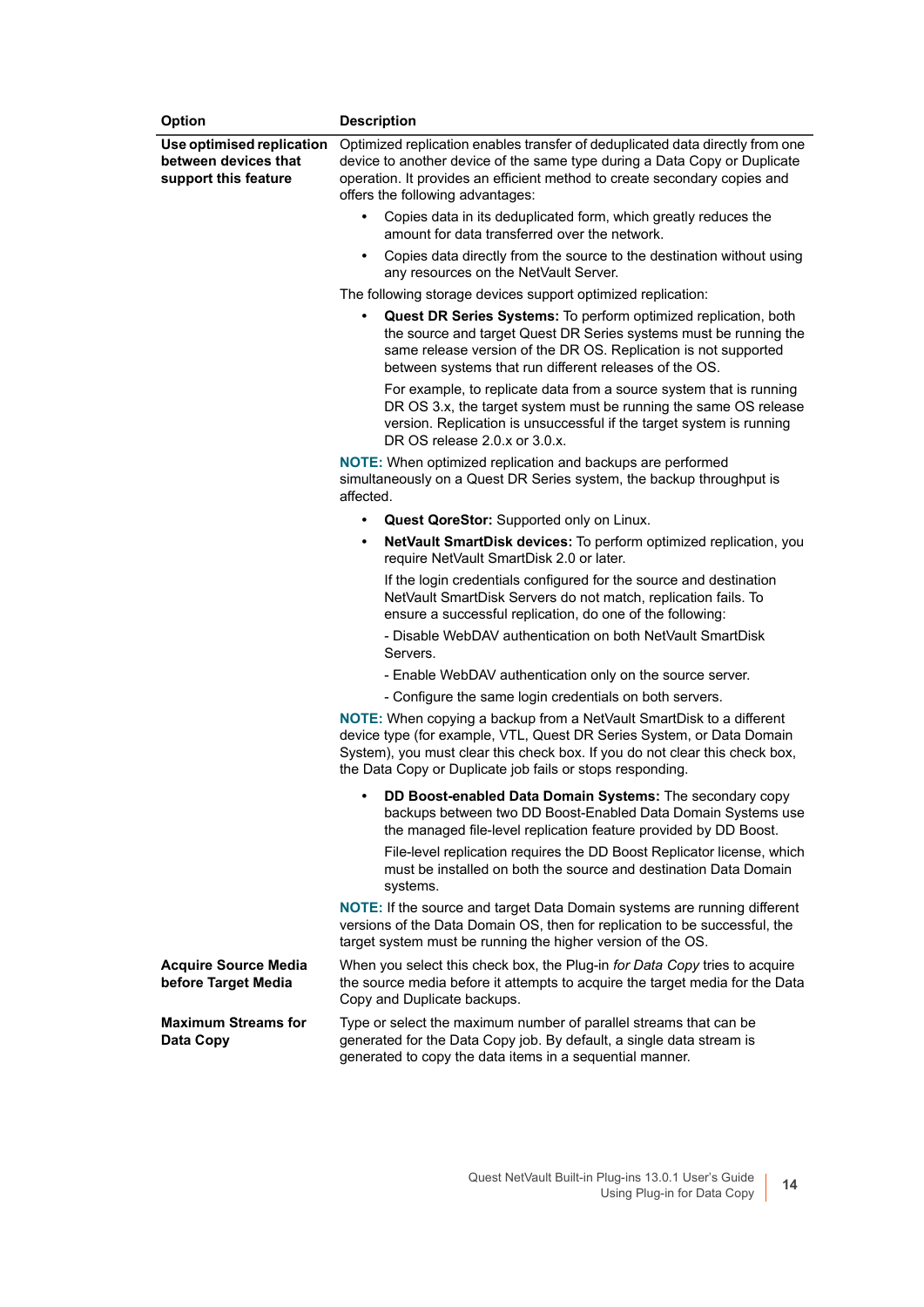| Option                                                                    | <b>Description</b>                                                                                                                                                                                                                                                                               |
|---------------------------------------------------------------------------|--------------------------------------------------------------------------------------------------------------------------------------------------------------------------------------------------------------------------------------------------------------------------------------------------|
| Use optimised replication<br>between devices that<br>support this feature | Optimized replication enables transfer of deduplicated data directly from one<br>device to another device of the same type during a Data Copy or Duplicate<br>operation. It provides an efficient method to create secondary copies and<br>offers the following advantages:                      |
|                                                                           | Copies data in its deduplicated form, which greatly reduces the<br>$\bullet$<br>amount for data transferred over the network.                                                                                                                                                                    |
|                                                                           | Copies data directly from the source to the destination without using<br>$\bullet$<br>any resources on the NetVault Server.                                                                                                                                                                      |
|                                                                           | The following storage devices support optimized replication:                                                                                                                                                                                                                                     |
|                                                                           | <b>Quest DR Series Systems:</b> To perform optimized replication, both<br>the source and target Quest DR Series systems must be running the<br>same release version of the DR OS. Replication is not supported<br>between systems that run different releases of the OS.                         |
|                                                                           | For example, to replicate data from a source system that is running<br>DR OS 3.x, the target system must be running the same OS release<br>version. Replication is unsuccessful if the target system is running<br>DR OS release 2.0.x or 3.0.x.                                                 |
|                                                                           | NOTE: When optimized replication and backups are performed<br>simultaneously on a Quest DR Series system, the backup throughput is<br>affected.                                                                                                                                                  |
|                                                                           | Quest QoreStor: Supported only on Linux.<br>$\bullet$                                                                                                                                                                                                                                            |
|                                                                           | NetVault SmartDisk devices: To perform optimized replication, you<br>$\bullet$<br>require NetVault SmartDisk 2.0 or later.                                                                                                                                                                       |
|                                                                           | If the login credentials configured for the source and destination<br>NetVault SmartDisk Servers do not match, replication fails. To<br>ensure a successful replication, do one of the following:                                                                                                |
|                                                                           | - Disable WebDAV authentication on both NetVault SmartDisk<br>Servers.                                                                                                                                                                                                                           |
|                                                                           | - Enable WebDAV authentication only on the source server.                                                                                                                                                                                                                                        |
|                                                                           | - Configure the same login credentials on both servers.                                                                                                                                                                                                                                          |
|                                                                           | <b>NOTE:</b> When copying a backup from a NetVault SmartDisk to a different<br>device type (for example, VTL, Quest DR Series System, or Data Domain<br>System), you must clear this check box. If you do not clear this check box,<br>the Data Copy or Duplicate job fails or stops responding. |
|                                                                           | DD Boost-enabled Data Domain Systems: The secondary copy<br>backups between two DD Boost-Enabled Data Domain Systems use<br>the managed file-level replication feature provided by DD Boost.                                                                                                     |
|                                                                           | File-level replication requires the DD Boost Replicator license, which<br>must be installed on both the source and destination Data Domain<br>systems.                                                                                                                                           |
|                                                                           | <b>NOTE:</b> If the source and target Data Domain systems are running different<br>versions of the Data Domain OS, then for replication to be successful, the<br>target system must be running the higher version of the OS.                                                                     |
| <b>Acquire Source Media</b><br>before Target Media                        | When you select this check box, the Plug-in for Data Copy tries to acquire<br>the source media before it attempts to acquire the target media for the Data<br>Copy and Duplicate backups.                                                                                                        |
| <b>Maximum Streams for</b><br>Data Copy                                   | Type or select the maximum number of parallel streams that can be<br>generated for the Data Copy job. By default, a single data stream is<br>generated to copy the data items in a sequential manner.                                                                                            |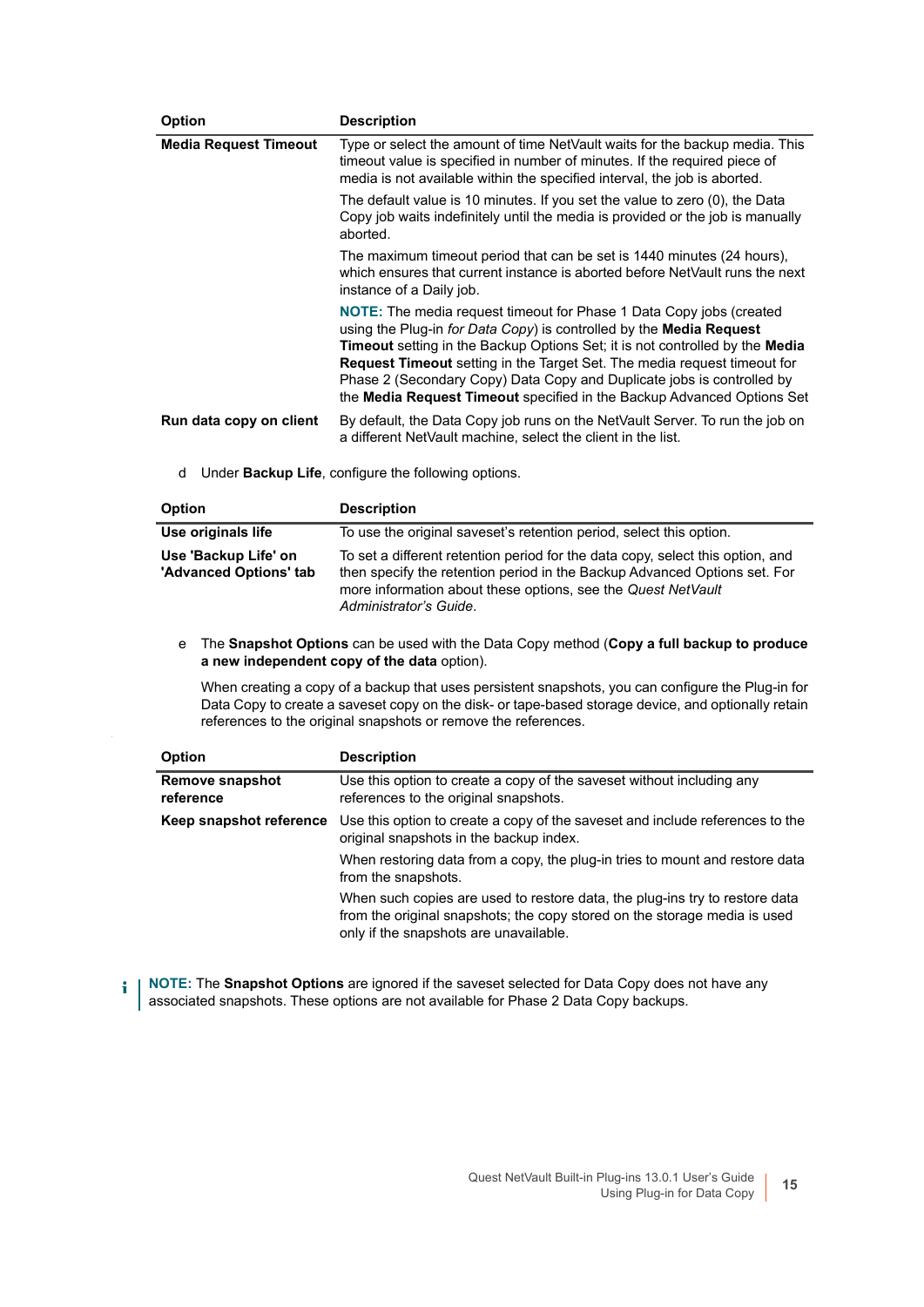| <b>Option</b>                | <b>Description</b>                                                                                                                                                                                                                                                                                                                                                                                                                                                                     |
|------------------------------|----------------------------------------------------------------------------------------------------------------------------------------------------------------------------------------------------------------------------------------------------------------------------------------------------------------------------------------------------------------------------------------------------------------------------------------------------------------------------------------|
| <b>Media Request Timeout</b> | Type or select the amount of time NetVault waits for the backup media. This<br>timeout value is specified in number of minutes. If the required piece of<br>media is not available within the specified interval, the job is aborted.                                                                                                                                                                                                                                                  |
|                              | The default value is 10 minutes. If you set the value to zero (0), the Data<br>Copy job waits indefinitely until the media is provided or the job is manually<br>aborted.                                                                                                                                                                                                                                                                                                              |
|                              | The maximum timeout period that can be set is 1440 minutes (24 hours),<br>which ensures that current instance is aborted before NetVault runs the next<br>instance of a Daily job.                                                                                                                                                                                                                                                                                                     |
|                              | <b>NOTE:</b> The media request timeout for Phase 1 Data Copy jobs (created<br>using the Plug-in for Data Copy) is controlled by the Media Request<br><b>Timeout</b> setting in the Backup Options Set; it is not controlled by the Media<br><b>Request Timeout</b> setting in the Target Set. The media request timeout for<br>Phase 2 (Secondary Copy) Data Copy and Duplicate jobs is controlled by<br>the <b>Media Request Timeout</b> specified in the Backup Advanced Options Set |
| Run data copy on client      | By default, the Data Copy job runs on the NetVault Server. To run the job on<br>a different NetVault machine, select the client in the list.                                                                                                                                                                                                                                                                                                                                           |

d Under **Backup Life**, configure the following options.

| <b>Option</b>                                  | <b>Description</b>                                                                                                                                                                                                                                    |
|------------------------------------------------|-------------------------------------------------------------------------------------------------------------------------------------------------------------------------------------------------------------------------------------------------------|
| Use originals life                             | To use the original saveset's retention period, select this option.                                                                                                                                                                                   |
| Use 'Backup Life' on<br>'Advanced Options' tab | To set a different retention period for the data copy, select this option, and<br>then specify the retention period in the Backup Advanced Options set. For<br>more information about these options, see the Quest NetVault<br>Administrator's Guide. |

e The **Snapshot Options** can be used with the Data Copy method (**Copy a full backup to produce a new independent copy of the data** option).

When creating a copy of a backup that uses persistent snapshots, you can configure the Plug-in for Data Copy to create a saveset copy on the disk- or tape-based storage device, and optionally retain references to the original snapshots or remove the references.

| <b>Option</b>                | <b>Description</b>                                                                                                                                                                                 |
|------------------------------|----------------------------------------------------------------------------------------------------------------------------------------------------------------------------------------------------|
| Remove snapshot<br>reference | Use this option to create a copy of the saveset without including any<br>references to the original snapshots.                                                                                     |
| Keep snapshot reference      | Use this option to create a copy of the saveset and include references to the<br>original snapshots in the backup index.                                                                           |
|                              | When restoring data from a copy, the plug-in tries to mount and restore data<br>from the snapshots.                                                                                                |
|                              | When such copies are used to restore data, the plug-ins try to restore data<br>from the original snapshots; the copy stored on the storage media is used<br>only if the snapshots are unavailable. |

**NOTE:** The **Snapshot Options** are ignored if the saveset selected for Data Copy does not have any i associated snapshots. These options are not available for Phase 2 Data Copy backups.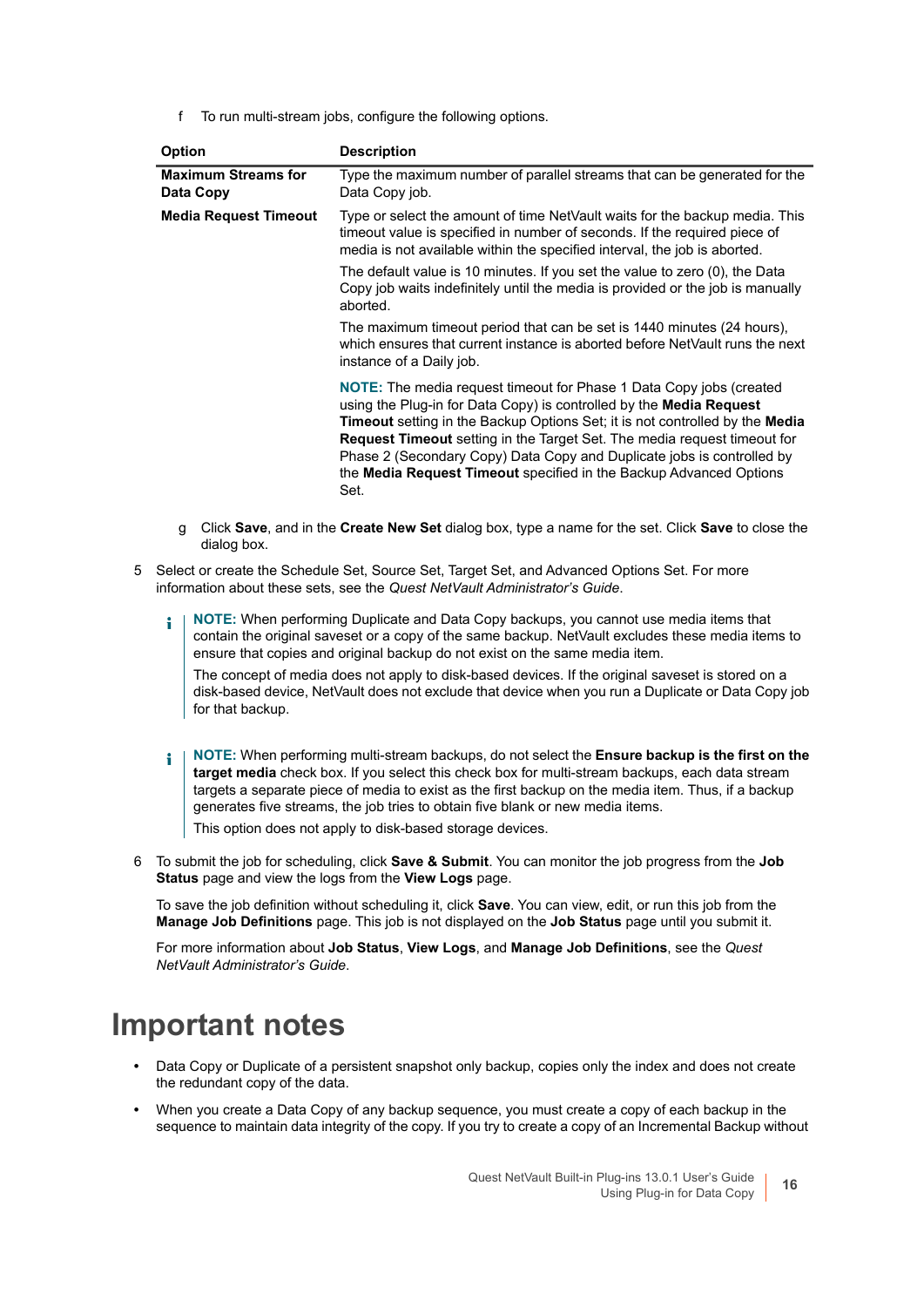f To run multi-stream jobs, configure the following options.

| <b>Option</b>                           | <b>Description</b>                                                                                                                                                                                                                                                                                                                                                                                                                                                                         |
|-----------------------------------------|--------------------------------------------------------------------------------------------------------------------------------------------------------------------------------------------------------------------------------------------------------------------------------------------------------------------------------------------------------------------------------------------------------------------------------------------------------------------------------------------|
| <b>Maximum Streams for</b><br>Data Copy | Type the maximum number of parallel streams that can be generated for the<br>Data Copy job.                                                                                                                                                                                                                                                                                                                                                                                                |
| <b>Media Request Timeout</b>            | Type or select the amount of time NetVault waits for the backup media. This<br>timeout value is specified in number of seconds. If the required piece of<br>media is not available within the specified interval, the job is aborted.                                                                                                                                                                                                                                                      |
|                                         | The default value is 10 minutes. If you set the value to zero (0), the Data<br>Copy job waits indefinitely until the media is provided or the job is manually<br>aborted.                                                                                                                                                                                                                                                                                                                  |
|                                         | The maximum timeout period that can be set is 1440 minutes (24 hours),<br>which ensures that current instance is aborted before NetVault runs the next<br>instance of a Daily job.                                                                                                                                                                                                                                                                                                         |
|                                         | <b>NOTE:</b> The media request timeout for Phase 1 Data Copy jobs (created<br>using the Plug-in for Data Copy) is controlled by the <b>Media Request</b><br><b>Timeout</b> setting in the Backup Options Set; it is not controlled by the Media<br><b>Request Timeout</b> setting in the Target Set. The media request timeout for<br>Phase 2 (Secondary Copy) Data Copy and Duplicate jobs is controlled by<br>the Media Request Timeout specified in the Backup Advanced Options<br>Set. |

- g Click **Save**, and in the **Create New Set** dialog box, type a name for the set. Click **Save** to close the dialog box.
- 5 Select or create the Schedule Set, Source Set, Target Set, and Advanced Options Set. For more information about these sets, see the *Quest NetVault Administrator's Guide*.
	- **NOTE:** When performing Duplicate and Data Copy backups, you cannot use media items that ÷ contain the original saveset or a copy of the same backup. NetVault excludes these media items to ensure that copies and original backup do not exist on the same media item. The concept of media does not apply to disk-based devices. If the original saveset is stored on a disk-based device, NetVault does not exclude that device when you run a Duplicate or Data Copy job for that backup.
	- **NOTE:** When performing multi-stream backups, do not select the **Ensure backup is the first on the**  ÷ **target media** check box. If you select this check box for multi-stream backups, each data stream targets a separate piece of media to exist as the first backup on the media item. Thus, if a backup generates five streams, the job tries to obtain five blank or new media items. This option does not apply to disk-based storage devices.
- 6 To submit the job for scheduling, click **Save & Submit**. You can monitor the job progress from the **Job Status** page and view the logs from the **View Logs** page.

To save the job definition without scheduling it, click **Save**. You can view, edit, or run this job from the **Manage Job Definitions** page. This job is not displayed on the **Job Status** page until you submit it.

For more information about **Job Status**, **View Logs**, and **Manage Job Definitions**, see the *Quest NetVault Administrator's Guide*.

### <span id="page-15-0"></span>**Important notes**

- **•** Data Copy or Duplicate of a persistent snapshot only backup, copies only the index and does not create the redundant copy of the data.
- **•** When you create a Data Copy of any backup sequence, you must create a copy of each backup in the sequence to maintain data integrity of the copy. If you try to create a copy of an Incremental Backup without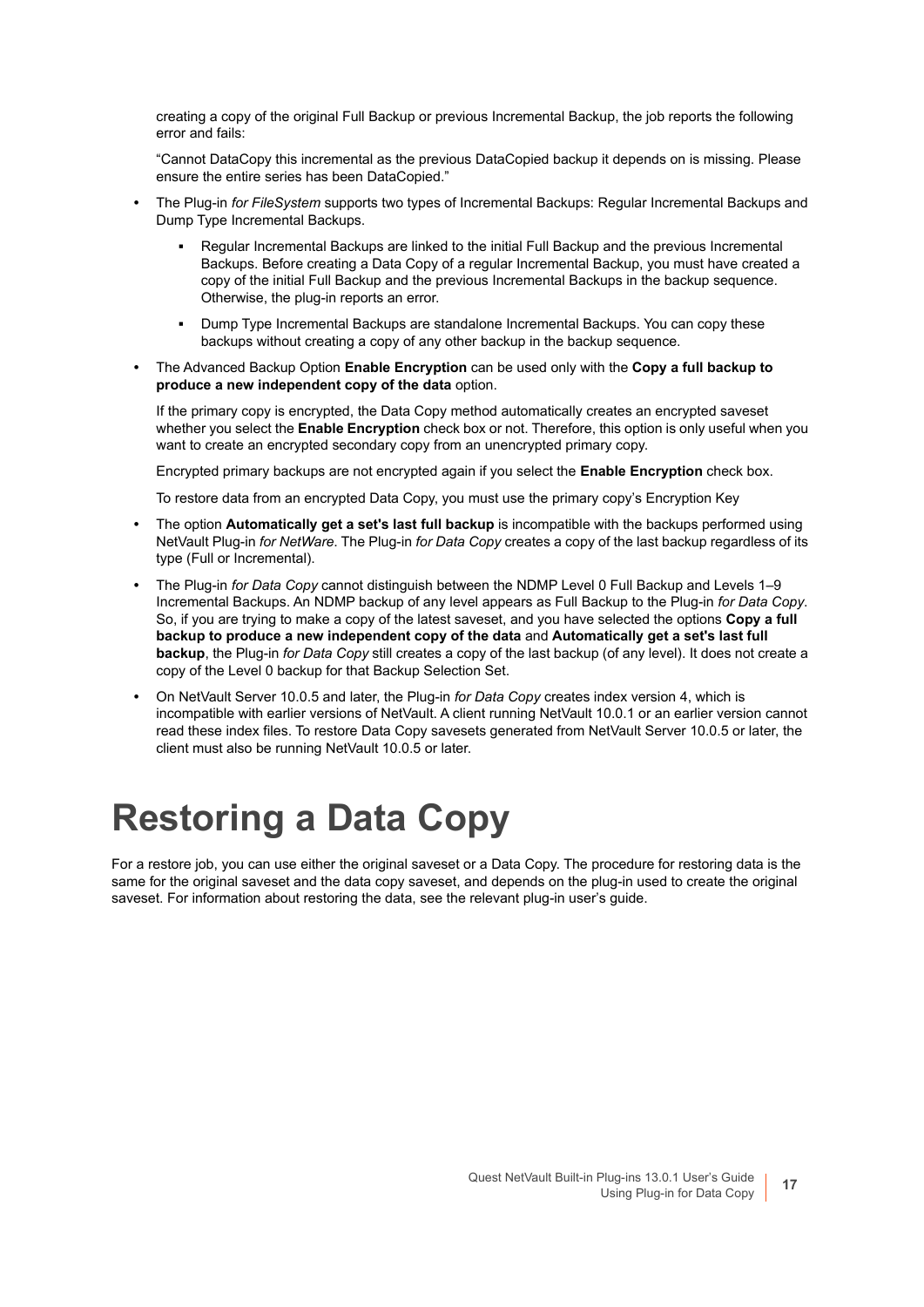creating a copy of the original Full Backup or previous Incremental Backup, the job reports the following error and fails:

"Cannot DataCopy this incremental as the previous DataCopied backup it depends on is missing. Please ensure the entire series has been DataCopied."

- **•** The Plug-in *for FileSystem* supports two types of Incremental Backups: Regular Incremental Backups and Dump Type Incremental Backups.
	- **▪** Regular Incremental Backups are linked to the initial Full Backup and the previous Incremental Backups. Before creating a Data Copy of a regular Incremental Backup, you must have created a copy of the initial Full Backup and the previous Incremental Backups in the backup sequence. Otherwise, the plug-in reports an error.
	- **▪** Dump Type Incremental Backups are standalone Incremental Backups. You can copy these backups without creating a copy of any other backup in the backup sequence.
- **•** The Advanced Backup Option **Enable Encryption** can be used only with the **Copy a full backup to produce a new independent copy of the data** option.

If the primary copy is encrypted, the Data Copy method automatically creates an encrypted saveset whether you select the **Enable Encryption** check box or not. Therefore, this option is only useful when you want to create an encrypted secondary copy from an unencrypted primary copy.

Encrypted primary backups are not encrypted again if you select the **Enable Encryption** check box.

To restore data from an encrypted Data Copy, you must use the primary copy's Encryption Key

- **•** The option **Automatically get a set's last full backup** is incompatible with the backups performed using NetVault Plug-in *for NetWare*. The Plug-in *for Data Copy* creates a copy of the last backup regardless of its type (Full or Incremental).
- **•** The Plug-in *for Data Copy* cannot distinguish between the NDMP Level 0 Full Backup and Levels 1–9 Incremental Backups. An NDMP backup of any level appears as Full Backup to the Plug-in *for Data Copy*. So, if you are trying to make a copy of the latest saveset, and you have selected the options **Copy a full backup to produce a new independent copy of the data** and **Automatically get a set's last full backup**, the Plug-in *for Data Copy* still creates a copy of the last backup (of any level). It does not create a copy of the Level 0 backup for that Backup Selection Set.
- **•** On NetVault Server 10.0.5 and later, the Plug-in *for Data Copy* creates index version 4, which is incompatible with earlier versions of NetVault. A client running NetVault 10.0.1 or an earlier version cannot read these index files. To restore Data Copy savesets generated from NetVault Server 10.0.5 or later, the client must also be running NetVault 10.0.5 or later.

## <span id="page-16-0"></span>**Restoring a Data Copy**

For a restore job, you can use either the original saveset or a Data Copy. The procedure for restoring data is the same for the original saveset and the data copy saveset, and depends on the plug-in used to create the original saveset. For information about restoring the data, see the relevant plug-in user's guide.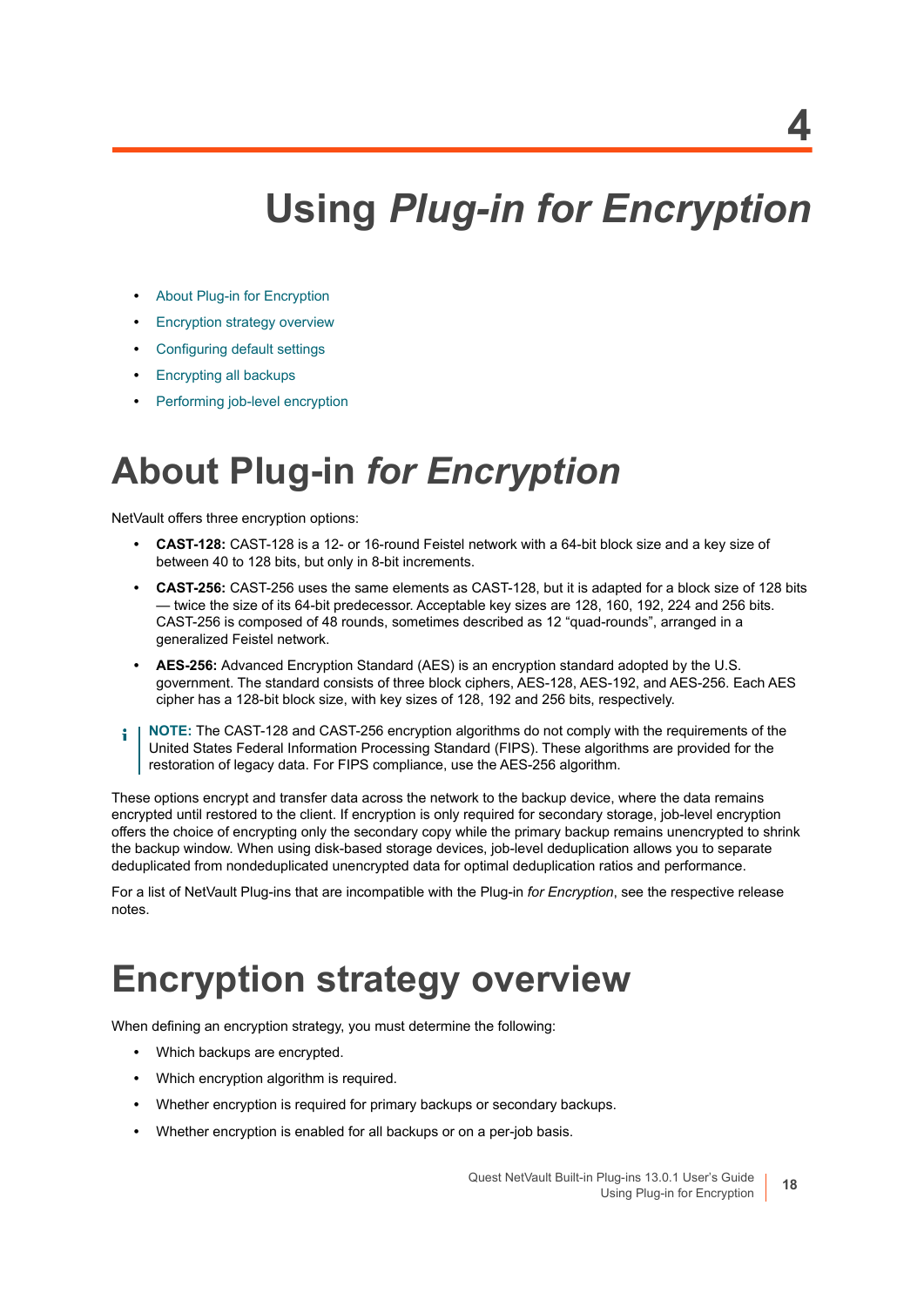## **Using** *Plug-in for Encryption*

- <span id="page-17-0"></span>**•** [About Plug-in for Encryption](#page-17-1)
- **[Encryption strategy overview](#page-17-2)**
- **•** [Configuring default settings](#page-20-0)
- **•** [Encrypting all backups](#page-20-1)
- **•** [Performing job-level encryption](#page-20-2)

## <span id="page-17-1"></span>**About Plug-in** *for Encryption*

NetVault offers three encryption options:

- **CAST-128:** CAST-128 is a 12- or 16-round Feistel network with a 64-bit block size and a key size of between 40 to 128 bits, but only in 8-bit increments.
- **CAST-256:** CAST-256 uses the same elements as CAST-128, but it is adapted for a block size of 128 bits — twice the size of its 64-bit predecessor. Acceptable key sizes are 128, 160, 192, 224 and 256 bits. CAST-256 is composed of 48 rounds, sometimes described as 12 "quad-rounds", arranged in a generalized Feistel network.
- **AES-256:** Advanced Encryption Standard (AES) is an encryption standard adopted by the U.S. government. The standard consists of three block ciphers, AES-128, AES-192, and AES-256. Each AES cipher has a 128-bit block size, with key sizes of 128, 192 and 256 bits, respectively.
- **NOTE:** The CAST-128 and CAST-256 encryption algorithms do not comply with the requirements of the ÷ United States Federal Information Processing Standard (FIPS). These algorithms are provided for the restoration of legacy data. For FIPS compliance, use the AES-256 algorithm.

These options encrypt and transfer data across the network to the backup device, where the data remains encrypted until restored to the client. If encryption is only required for secondary storage, job-level encryption offers the choice of encrypting only the secondary copy while the primary backup remains unencrypted to shrink the backup window. When using disk-based storage devices, job-level deduplication allows you to separate deduplicated from nondeduplicated unencrypted data for optimal deduplication ratios and performance.

For a list of NetVault Plug-ins that are incompatible with the Plug-in *for Encryption*, see the respective release notes.

## <span id="page-17-2"></span>**Encryption strategy overview**

When defining an encryption strategy, you must determine the following:

- **•** Which backups are encrypted.
- **•** Which encryption algorithm is required.
- **•** Whether encryption is required for primary backups or secondary backups.
- **•** Whether encryption is enabled for all backups or on a per-job basis.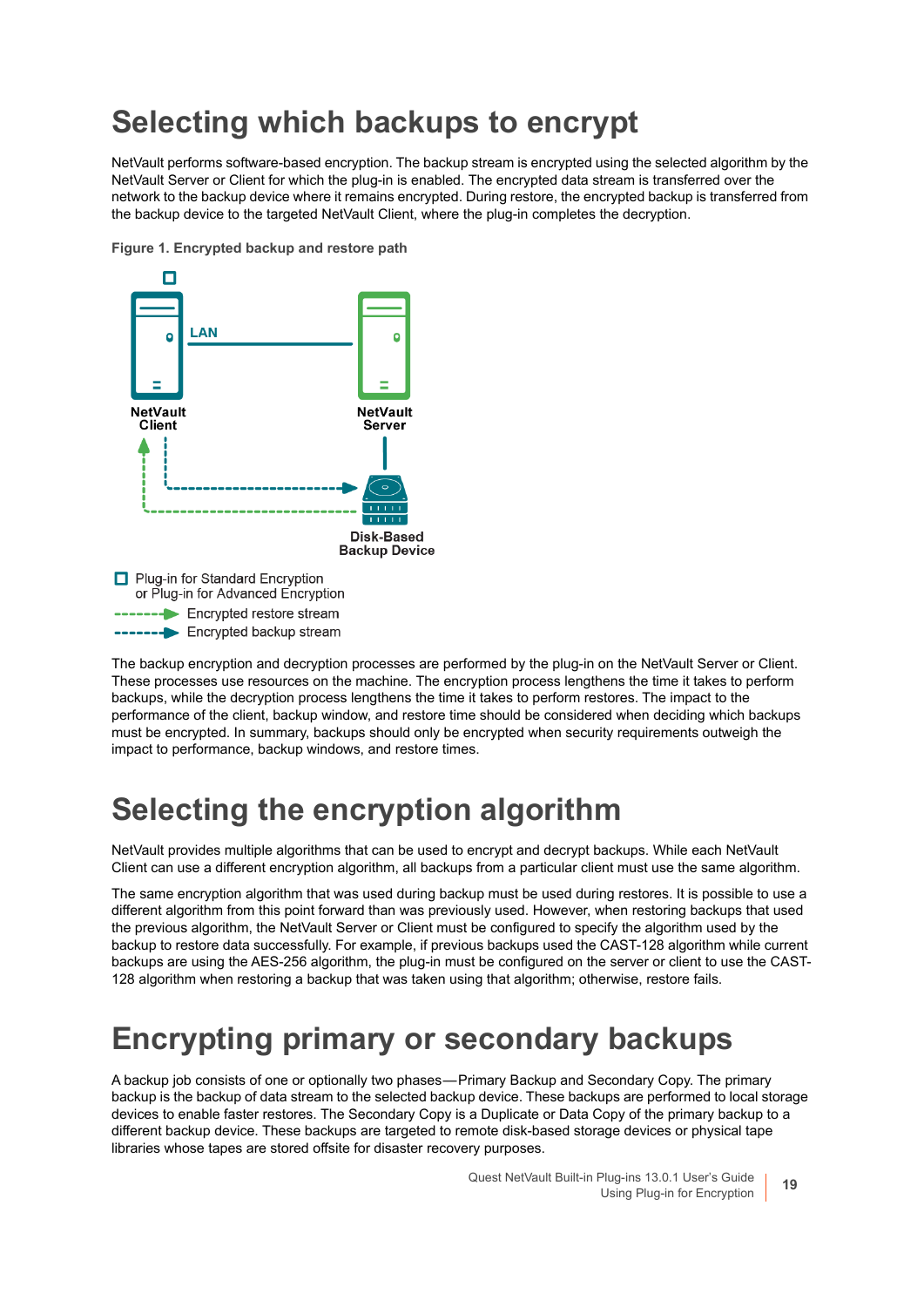### <span id="page-18-0"></span>**Selecting which backups to encrypt**

NetVault performs software-based encryption. The backup stream is encrypted using the selected algorithm by the NetVault Server or Client for which the plug-in is enabled. The encrypted data stream is transferred over the network to the backup device where it remains encrypted. During restore, the encrypted backup is transferred from the backup device to the targeted NetVault Client, where the plug-in completes the decryption.

**Figure 1. Encrypted backup and restore path**



The backup encryption and decryption processes are performed by the plug-in on the NetVault Server or Client. These processes use resources on the machine. The encryption process lengthens the time it takes to perform backups, while the decryption process lengthens the time it takes to perform restores. The impact to the performance of the client, backup window, and restore time should be considered when deciding which backups must be encrypted. In summary, backups should only be encrypted when security requirements outweigh the impact to performance, backup windows, and restore times.

### <span id="page-18-1"></span>**Selecting the encryption algorithm**

NetVault provides multiple algorithms that can be used to encrypt and decrypt backups. While each NetVault Client can use a different encryption algorithm, all backups from a particular client must use the same algorithm.

The same encryption algorithm that was used during backup must be used during restores. It is possible to use a different algorithm from this point forward than was previously used. However, when restoring backups that used the previous algorithm, the NetVault Server or Client must be configured to specify the algorithm used by the backup to restore data successfully. For example, if previous backups used the CAST-128 algorithm while current backups are using the AES-256 algorithm, the plug-in must be configured on the server or client to use the CAST-128 algorithm when restoring a backup that was taken using that algorithm; otherwise, restore fails.

### <span id="page-18-2"></span>**Encrypting primary or secondary backups**

A backup job consists of one or optionally two phases — Primary Backup and Secondary Copy. The primary backup is the backup of data stream to the selected backup device. These backups are performed to local storage devices to enable faster restores. The Secondary Copy is a Duplicate or Data Copy of the primary backup to a different backup device. These backups are targeted to remote disk-based storage devices or physical tape libraries whose tapes are stored offsite for disaster recovery purposes.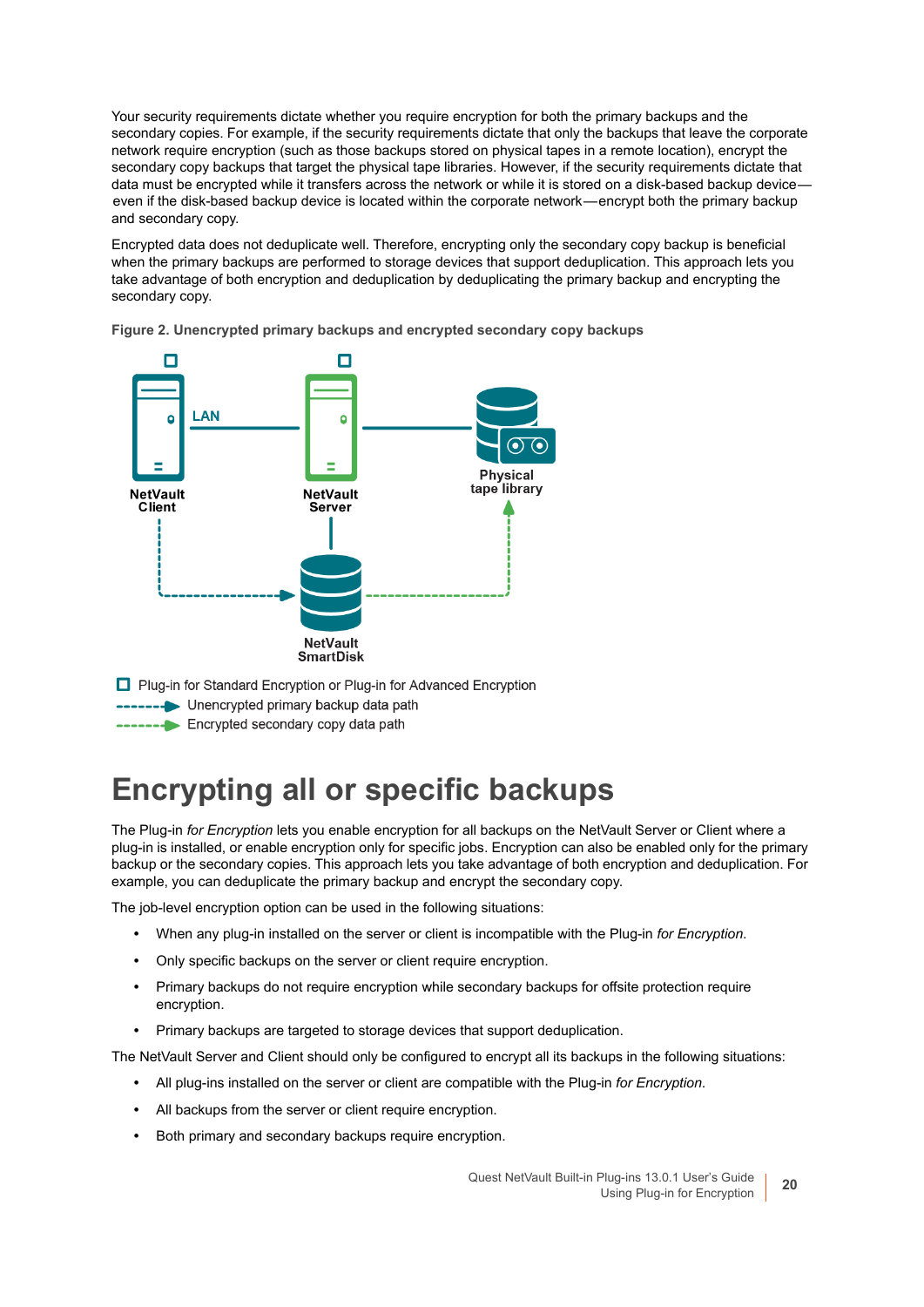Your security requirements dictate whether you require encryption for both the primary backups and the secondary copies. For example, if the security requirements dictate that only the backups that leave the corporate network require encryption (such as those backups stored on physical tapes in a remote location), encrypt the secondary copy backups that target the physical tape libraries. However, if the security requirements dictate that data must be encrypted while it transfers across the network or while it is stored on a disk-based backup device even if the disk-based backup device is located within the corporate network—encrypt both the primary backup and secondary copy.

Encrypted data does not deduplicate well. Therefore, encrypting only the secondary copy backup is beneficial when the primary backups are performed to storage devices that support deduplication. This approach lets you take advantage of both encryption and deduplication by deduplicating the primary backup and encrypting the secondary copy.



**Figure 2. Unencrypted primary backups and encrypted secondary copy backups**

□ Plug-in for Standard Encryption or Plug-in for Advanced Encryption

- ------ Unencrypted primary backup data path
- **-----** Encrypted secondary copy data path

### <span id="page-19-0"></span>**Encrypting all or specific backups**

The Plug-in *for Encryption* lets you enable encryption for all backups on the NetVault Server or Client where a plug-in is installed, or enable encryption only for specific jobs. Encryption can also be enabled only for the primary backup or the secondary copies. This approach lets you take advantage of both encryption and deduplication. For example, you can deduplicate the primary backup and encrypt the secondary copy.

The job-level encryption option can be used in the following situations:

- **•** When any plug-in installed on the server or client is incompatible with the Plug-in *for Encryption*.
- **•** Only specific backups on the server or client require encryption.
- **•** Primary backups do not require encryption while secondary backups for offsite protection require encryption.
- **•** Primary backups are targeted to storage devices that support deduplication.

The NetVault Server and Client should only be configured to encrypt all its backups in the following situations:

- **•** All plug-ins installed on the server or client are compatible with the Plug-in *for Encryption*.
- **•** All backups from the server or client require encryption.
- **•** Both primary and secondary backups require encryption.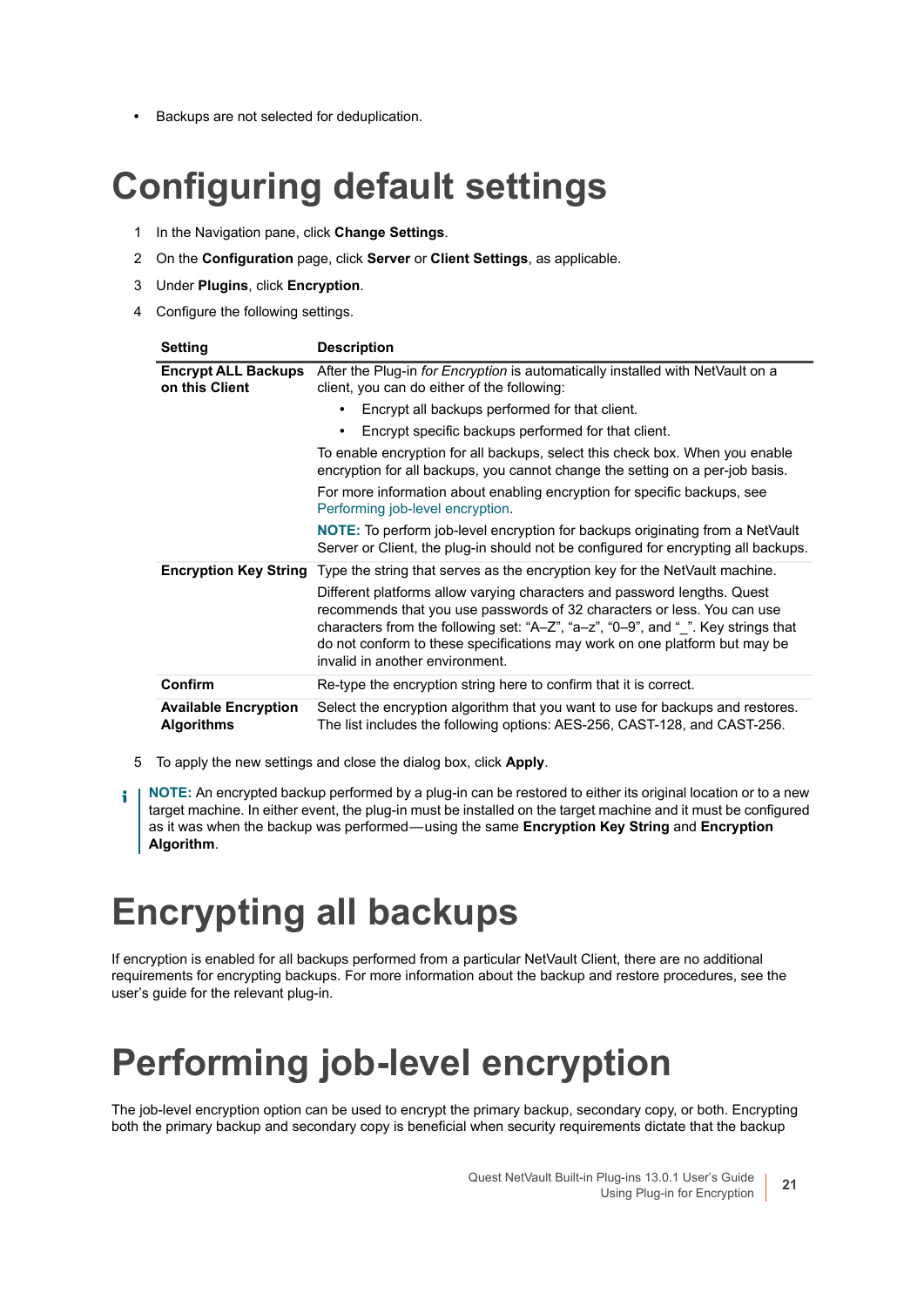**•** Backups are not selected for deduplication.

## <span id="page-20-0"></span>**Configuring default settings**

- 1 In the Navigation pane, click **Change Settings**.
- 2 On the **Configuration** page, click **Server** or **Client Settings**, as applicable.
- 3 Under **Plugins**, click **Encryption**.
- 4 Configure the following settings.

| <b>Setting</b>                                   | <b>Description</b>                                                                                                                                                                                                                                                                                                                                        |
|--------------------------------------------------|-----------------------------------------------------------------------------------------------------------------------------------------------------------------------------------------------------------------------------------------------------------------------------------------------------------------------------------------------------------|
| <b>Encrypt ALL Backups</b><br>on this Client     | After the Plug-in for Encryption is automatically installed with NetVault on a<br>client, you can do either of the following:                                                                                                                                                                                                                             |
|                                                  | Encrypt all backups performed for that client.                                                                                                                                                                                                                                                                                                            |
|                                                  | Encrypt specific backups performed for that client.<br>٠                                                                                                                                                                                                                                                                                                  |
|                                                  | To enable encryption for all backups, select this check box. When you enable<br>encryption for all backups, you cannot change the setting on a per-job basis.                                                                                                                                                                                             |
|                                                  | For more information about enabling encryption for specific backups, see<br>Performing job-level encryption.                                                                                                                                                                                                                                              |
|                                                  | <b>NOTE:</b> To perform job-level encryption for backups originating from a NetVault<br>Server or Client, the plug-in should not be configured for encrypting all backups.                                                                                                                                                                                |
|                                                  | <b>Encryption Key String</b> Type the string that serves as the encryption key for the NetVault machine.                                                                                                                                                                                                                                                  |
|                                                  | Different platforms allow varying characters and password lengths. Quest<br>recommends that you use passwords of 32 characters or less. You can use<br>characters from the following set: "A-Z", "a-z", "0-9", and " ". Key strings that<br>do not conform to these specifications may work on one platform but may be<br>invalid in another environment. |
| Confirm                                          | Re-type the encryption string here to confirm that it is correct.                                                                                                                                                                                                                                                                                         |
| <b>Available Encryption</b><br><b>Algorithms</b> | Select the encryption algorithm that you want to use for backups and restores.<br>The list includes the following options: AES-256, CAST-128, and CAST-256.                                                                                                                                                                                               |

- 5 To apply the new settings and close the dialog box, click **Apply**.
- **NOTE:** An encrypted backup performed by a plug-in can be restored to either its original location or to a new f. target machine. In either event, the plug-in must be installed on the target machine and it must be configured as it was when the backup was performed — using the same **Encryption Key String** and **Encryption Algorithm**.

## <span id="page-20-1"></span>**Encrypting all backups**

If encryption is enabled for all backups performed from a particular NetVault Client, there are no additional requirements for encrypting backups. For more information about the backup and restore procedures, see the user's guide for the relevant plug-in.

## <span id="page-20-2"></span>**Performing job-level encryption**

The job-level encryption option can be used to encrypt the primary backup, secondary copy, or both. Encrypting both the primary backup and secondary copy is beneficial when security requirements dictate that the backup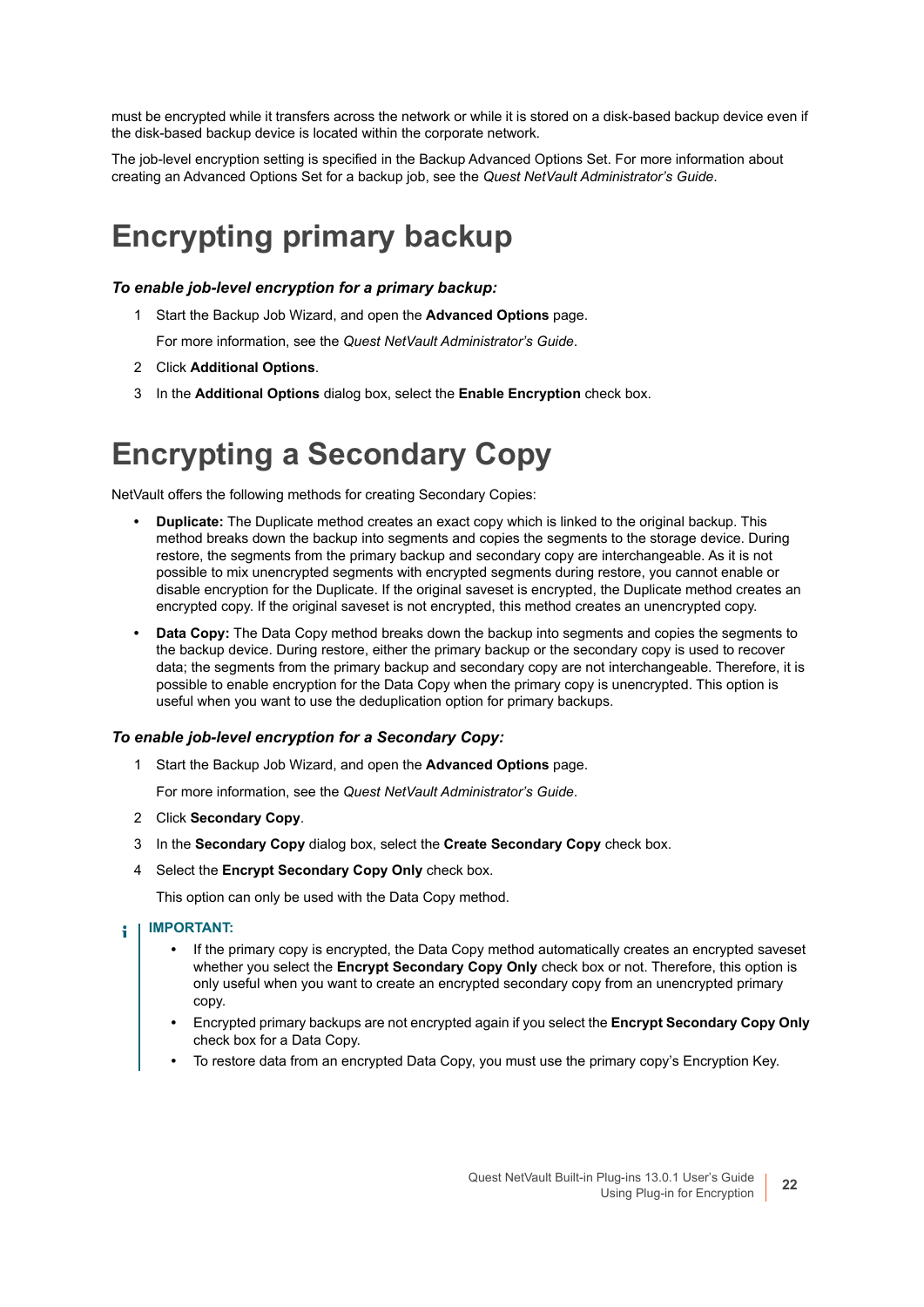must be encrypted while it transfers across the network or while it is stored on a disk-based backup device even if the disk-based backup device is located within the corporate network.

The job-level encryption setting is specified in the Backup Advanced Options Set. For more information about creating an Advanced Options Set for a backup job, see the *Quest NetVault Administrator's Guide*.

### <span id="page-21-0"></span>**Encrypting primary backup**

#### *To enable job-level encryption for a primary backup:*

1 Start the Backup Job Wizard, and open the **Advanced Options** page.

For more information, see the *Quest NetVault Administrator's Guide*.

- 2 Click **Additional Options**.
- 3 In the **Additional Options** dialog box, select the **Enable Encryption** check box.

### <span id="page-21-1"></span>**Encrypting a Secondary Copy**

NetVault offers the following methods for creating Secondary Copies:

- **Duplicate:** The Duplicate method creates an exact copy which is linked to the original backup. This method breaks down the backup into segments and copies the segments to the storage device. During restore, the segments from the primary backup and secondary copy are interchangeable. As it is not possible to mix unencrypted segments with encrypted segments during restore, you cannot enable or disable encryption for the Duplicate. If the original saveset is encrypted, the Duplicate method creates an encrypted copy. If the original saveset is not encrypted, this method creates an unencrypted copy.
- **Data Copy:** The Data Copy method breaks down the backup into segments and copies the segments to the backup device. During restore, either the primary backup or the secondary copy is used to recover data; the segments from the primary backup and secondary copy are not interchangeable. Therefore, it is possible to enable encryption for the Data Copy when the primary copy is unencrypted. This option is useful when you want to use the deduplication option for primary backups.

#### *To enable job-level encryption for a Secondary Copy:*

1 Start the Backup Job Wizard, and open the **Advanced Options** page.

For more information, see the *Quest NetVault Administrator's Guide*.

- 2 Click **Secondary Copy**.
- 3 In the **Secondary Copy** dialog box, select the **Create Secondary Copy** check box.
- 4 Select the **Encrypt Secondary Copy Only** check box.

This option can only be used with the Data Copy method.

- **IMPORTANT:**  f.
	- **•** If the primary copy is encrypted, the Data Copy method automatically creates an encrypted saveset whether you select the **Encrypt Secondary Copy Only** check box or not. Therefore, this option is only useful when you want to create an encrypted secondary copy from an unencrypted primary copy.
	- **•** Encrypted primary backups are not encrypted again if you select the **Encrypt Secondary Copy Only** check box for a Data Copy.
	- **•** To restore data from an encrypted Data Copy, you must use the primary copy's Encryption Key.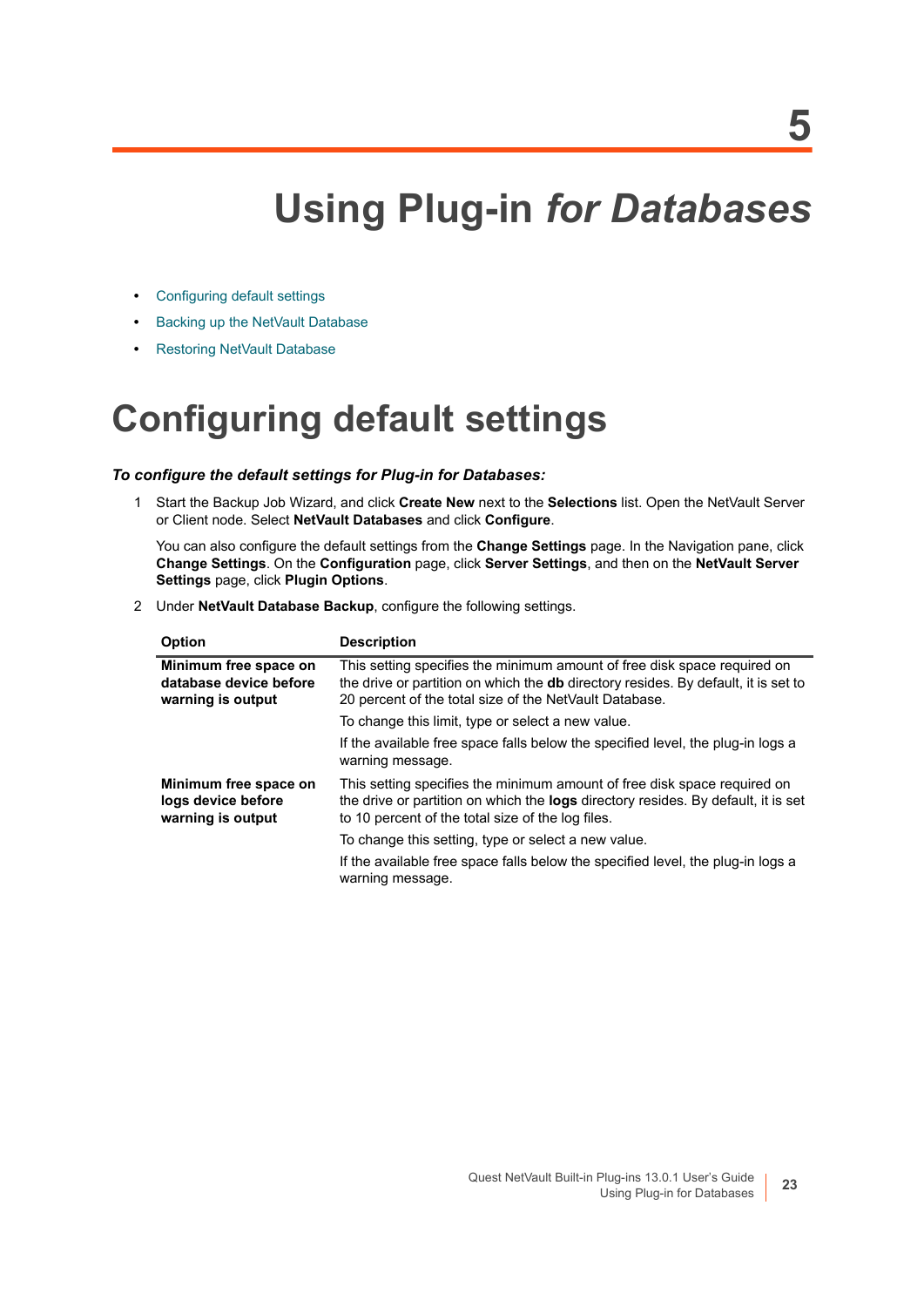## **Using Plug-in** *for Databases*

- <span id="page-22-0"></span>**•** [Configuring default settings](#page-22-1)
- **•** [Backing up the NetVault Database](#page-23-0)
- **•** [Restoring NetVault Database](#page-24-0)

## <span id="page-22-1"></span>**Configuring default settings**

### *To configure the default settings for Plug-in for Databases:*

1 Start the Backup Job Wizard, and click **Create New** next to the **Selections** list. Open the NetVault Server or Client node. Select **NetVault Databases** and click **Configure**.

You can also configure the default settings from the **Change Settings** page. In the Navigation pane, click **Change Settings**. On the **Configuration** page, click **Server Settings**, and then on the **NetVault Server Settings** page, click **Plugin Options**.

2 Under **NetVault Database Backup**, configure the following settings.

| <b>Option</b>                                                        | <b>Description</b>                                                                                                                                                                                                              |
|----------------------------------------------------------------------|---------------------------------------------------------------------------------------------------------------------------------------------------------------------------------------------------------------------------------|
| Minimum free space on<br>database device before<br>warning is output | This setting specifies the minimum amount of free disk space required on<br>the drive or partition on which the <b>db</b> directory resides. By default, it is set to<br>20 percent of the total size of the NetVault Database. |
|                                                                      | To change this limit, type or select a new value.                                                                                                                                                                               |
|                                                                      | If the available free space falls below the specified level, the plug-in logs a<br>warning message.                                                                                                                             |
| Minimum free space on<br>logs device before<br>warning is output     | This setting specifies the minimum amount of free disk space required on<br>the drive or partition on which the <b>logs</b> directory resides. By default, it is set<br>to 10 percent of the total size of the log files.       |
|                                                                      | To change this setting, type or select a new value.                                                                                                                                                                             |
|                                                                      | If the available free space falls below the specified level, the plug-in logs a<br>warning message.                                                                                                                             |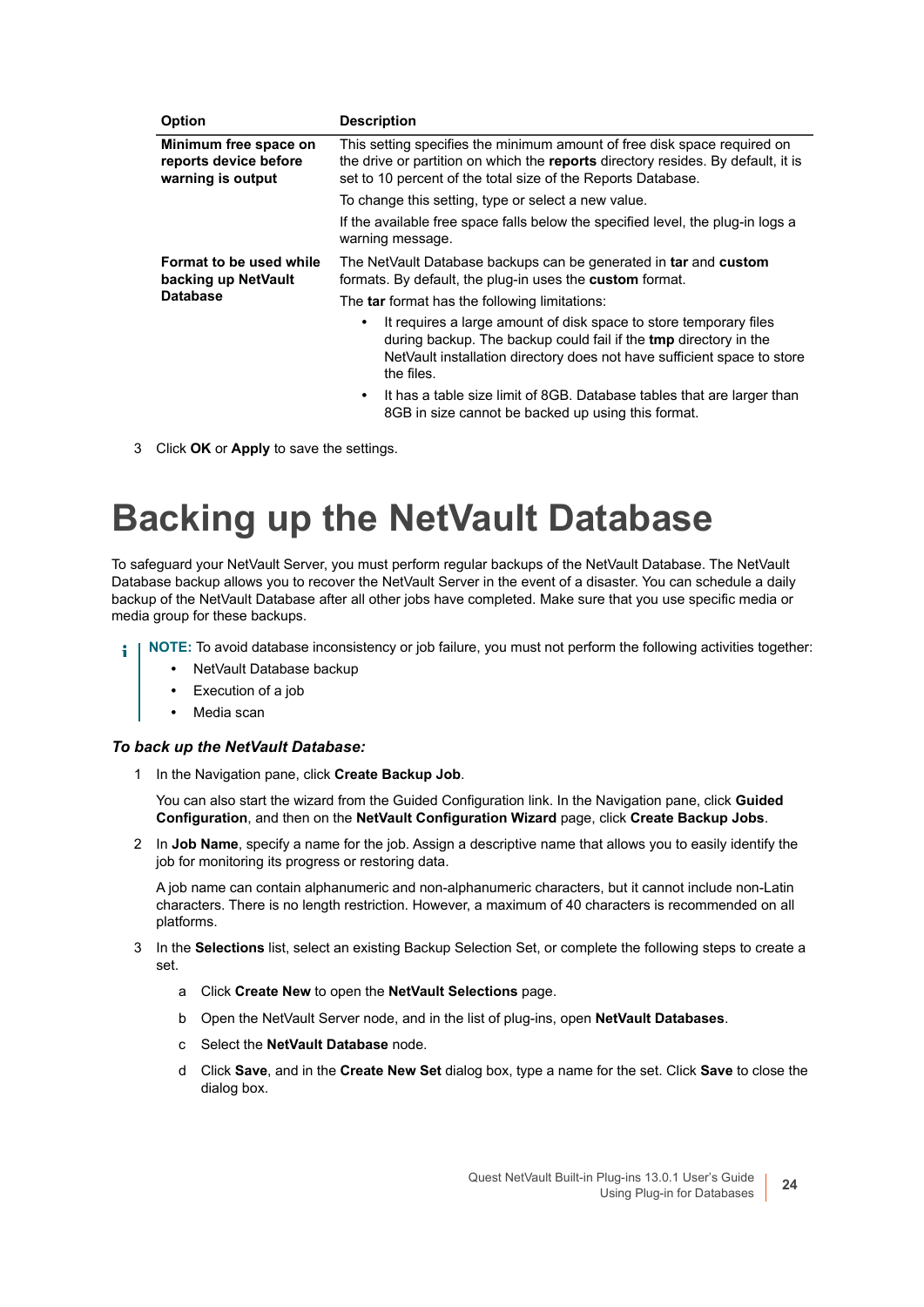| <b>Option</b>                                                       | <b>Description</b>                                                                                                                                                                                                             |
|---------------------------------------------------------------------|--------------------------------------------------------------------------------------------------------------------------------------------------------------------------------------------------------------------------------|
| Minimum free space on<br>reports device before<br>warning is output | This setting specifies the minimum amount of free disk space required on<br>the drive or partition on which the reports directory resides. By default, it is<br>set to 10 percent of the total size of the Reports Database.   |
|                                                                     | To change this setting, type or select a new value.                                                                                                                                                                            |
|                                                                     | If the available free space falls below the specified level, the plug-in logs a<br>warning message.                                                                                                                            |
| Format to be used while<br>backing up NetVault<br><b>Database</b>   | The NetVault Database backups can be generated in tar and custom<br>formats. By default, the plug-in uses the <b>custom</b> format.                                                                                            |
|                                                                     | The tar format has the following limitations:                                                                                                                                                                                  |
|                                                                     | It requires a large amount of disk space to store temporary files<br>during backup. The backup could fail if the tmp directory in the<br>NetVault installation directory does not have sufficient space to store<br>the files. |
|                                                                     | It has a table size limit of 8GB. Database tables that are larger than<br>$\bullet$<br>8GB in size cannot be backed up using this format.                                                                                      |

3 Click **OK** or **Apply** to save the settings.

## <span id="page-23-0"></span>**Backing up the NetVault Database**

To safeguard your NetVault Server, you must perform regular backups of the NetVault Database. The NetVault Database backup allows you to recover the NetVault Server in the event of a disaster. You can schedule a daily backup of the NetVault Database after all other jobs have completed. Make sure that you use specific media or media group for these backups.

- **NOTE:** To avoid database inconsistency or job failure, you must not perform the following activities together:
	- **•** NetVault Database backup
	- **•** Execution of a job
	- **•** Media scan

#### *To back up the NetVault Database:*

1 In the Navigation pane, click **Create Backup Job**.

You can also start the wizard from the Guided Configuration link. In the Navigation pane, click **Guided Configuration**, and then on the **NetVault Configuration Wizard** page, click **Create Backup Jobs**.

2 In **Job Name**, specify a name for the job. Assign a descriptive name that allows you to easily identify the job for monitoring its progress or restoring data.

A job name can contain alphanumeric and non-alphanumeric characters, but it cannot include non-Latin characters. There is no length restriction. However, a maximum of 40 characters is recommended on all platforms.

- 3 In the **Selections** list, select an existing Backup Selection Set, or complete the following steps to create a set.
	- a Click **Create New** to open the **NetVault Selections** page.
	- b Open the NetVault Server node, and in the list of plug-ins, open **NetVault Databases**.
	- c Select the **NetVault Database** node.
	- d Click **Save**, and in the **Create New Set** dialog box, type a name for the set. Click **Save** to close the dialog box.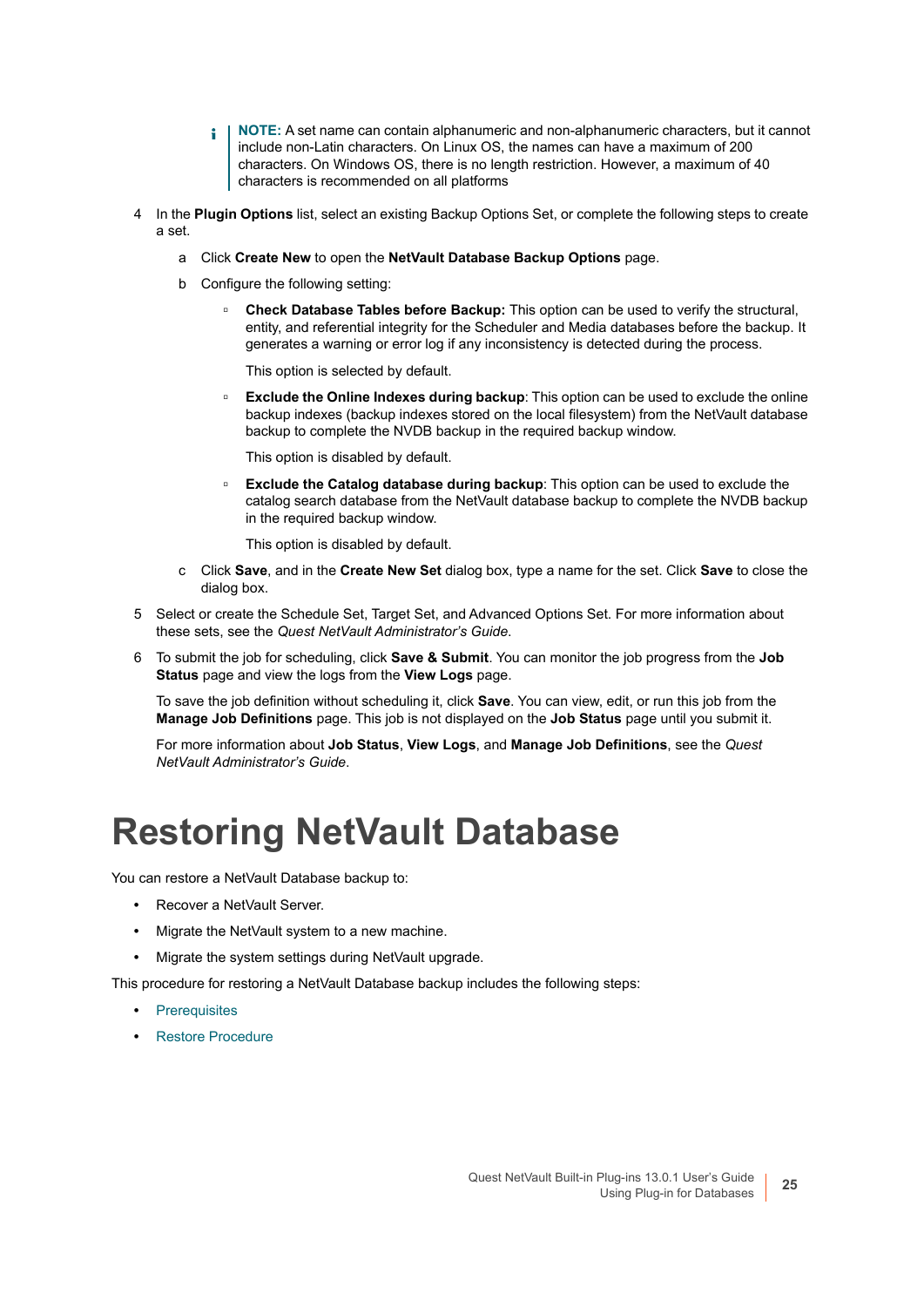- **NOTE:** A set name can contain alphanumeric and non-alphanumeric characters, but it cannot ÷ include non-Latin characters. On Linux OS, the names can have a maximum of 200 characters. On Windows OS, there is no length restriction. However, a maximum of 40 characters is recommended on all platforms
- 4 In the **Plugin Options** list, select an existing Backup Options Set, or complete the following steps to create a set.
	- a Click **Create New** to open the **NetVault Database Backup Options** page.
	- b Configure the following setting:
		- **□ Check Database Tables before Backup:** This option can be used to verify the structural, entity, and referential integrity for the Scheduler and Media databases before the backup. It generates a warning or error log if any inconsistency is detected during the process.

This option is selected by default.

**Exclude the Online Indexes during backup:** This option can be used to exclude the online backup indexes (backup indexes stored on the local filesystem) from the NetVault database backup to complete the NVDB backup in the required backup window.

This option is disabled by default.

**Exclude the Catalog database during backup:** This option can be used to exclude the catalog search database from the NetVault database backup to complete the NVDB backup in the required backup window.

This option is disabled by default.

- c Click **Save**, and in the **Create New Set** dialog box, type a name for the set. Click **Save** to close the dialog box.
- 5 Select or create the Schedule Set, Target Set, and Advanced Options Set. For more information about these sets, see the *Quest NetVault Administrator's Guide*.
- 6 To submit the job for scheduling, click **Save & Submit**. You can monitor the job progress from the **Job Status** page and view the logs from the **View Logs** page.

To save the job definition without scheduling it, click **Save**. You can view, edit, or run this job from the **Manage Job Definitions** page. This job is not displayed on the **Job Status** page until you submit it.

For more information about **Job Status**, **View Logs**, and **Manage Job Definitions**, see the *Quest NetVault Administrator's Guide*.

### <span id="page-24-0"></span>**Restoring NetVault Database**

You can restore a NetVault Database backup to:

- **•** Recover a NetVault Server.
- **•** Migrate the NetVault system to a new machine.
- **•** Migrate the system settings during NetVault upgrade.

This procedure for restoring a NetVault Database backup includes the following steps:

- **•** [Prerequisites](#page-25-0)
- **•** [Restore Procedure](#page-25-1)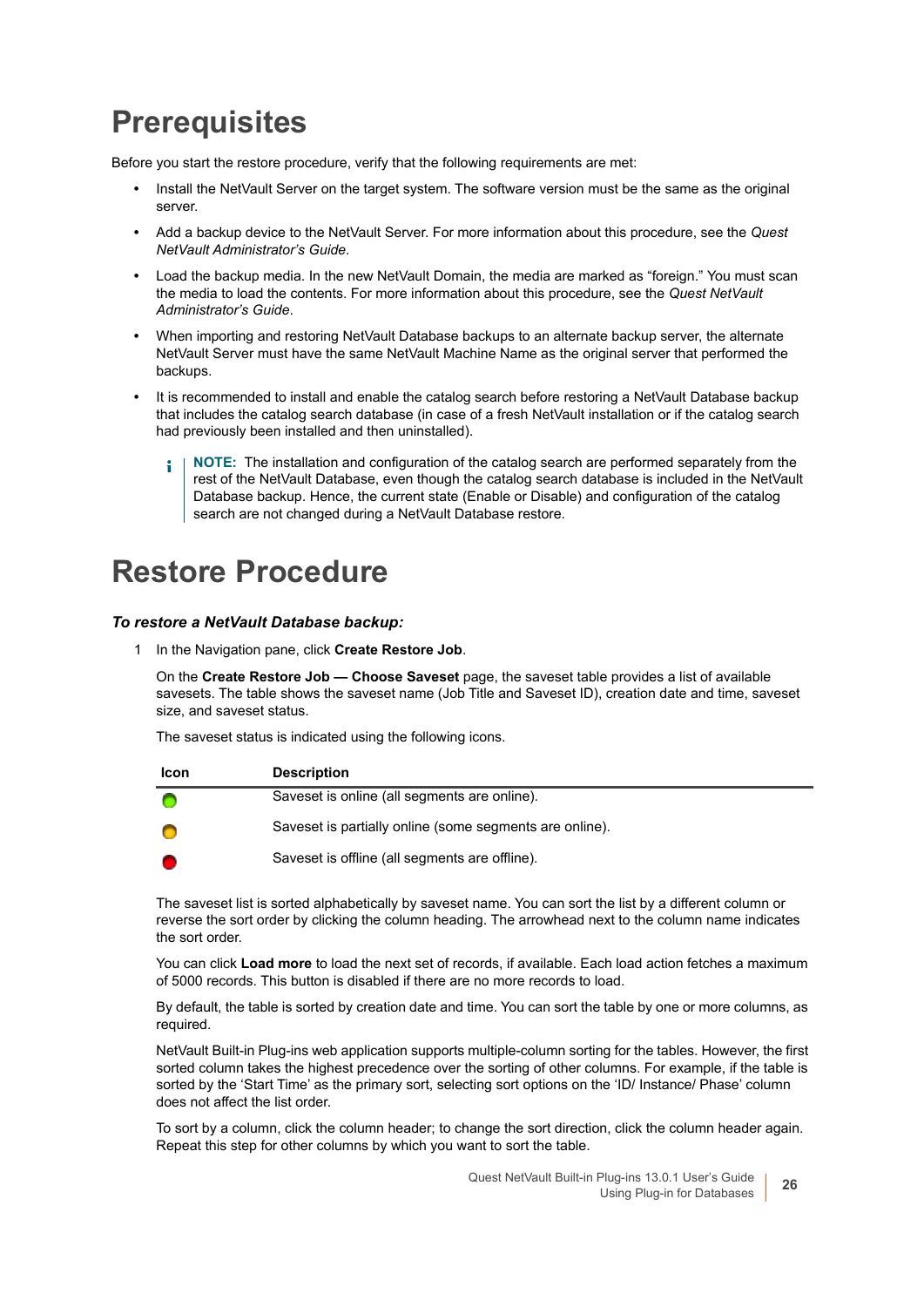### <span id="page-25-0"></span>**Prerequisites**

Before you start the restore procedure, verify that the following requirements are met:

- **•** Install the NetVault Server on the target system. The software version must be the same as the original server.
- **•** Add a backup device to the NetVault Server. For more information about this procedure, see the *Quest NetVault Administrator's Guide*.
- **•** Load the backup media. In the new NetVault Domain, the media are marked as "foreign." You must scan the media to load the contents. For more information about this procedure, see the *Quest NetVault Administrator's Guide*.
- **•** When importing and restoring NetVault Database backups to an alternate backup server, the alternate NetVault Server must have the same NetVault Machine Name as the original server that performed the backups.
- **•** It is recommended to install and enable the catalog search before restoring a NetVault Database backup that includes the catalog search database (in case of a fresh NetVault installation or if the catalog search had previously been installed and then uninstalled).
	- **NOTE:** The installation and configuration of the catalog search are performed separately from the f. rest of the NetVault Database, even though the catalog search database is included in the NetVault Database backup. Hence, the current state (Enable or Disable) and configuration of the catalog search are not changed during a NetVault Database restore.

### <span id="page-25-1"></span>**Restore Procedure**

#### *To restore a NetVault Database backup:*

<span id="page-25-2"></span>1 In the Navigation pane, click **Create Restore Job**.

On the **Create Restore Job — Choose Saveset** page, the saveset table provides a list of available savesets. The table shows the saveset name (Job Title and Saveset ID), creation date and time, saveset size, and saveset status.

The saveset status is indicated using the following icons.

| Icon | <b>Description</b>                                      |
|------|---------------------------------------------------------|
|      | Saveset is online (all segments are online).            |
|      | Saveset is partially online (some segments are online). |
|      | Saveset is offline (all segments are offline).          |

The saveset list is sorted alphabetically by saveset name. You can sort the list by a different column or reverse the sort order by clicking the column heading. The arrowhead next to the column name indicates the sort order.

You can click **Load more** to load the next set of records, if available. Each load action fetches a maximum of 5000 records. This button is disabled if there are no more records to load.

By default, the table is sorted by creation date and time. You can sort the table by one or more columns, as required.

NetVault Built-in Plug-ins web application supports multiple-column sorting for the tables. However, the first sorted column takes the highest precedence over the sorting of other columns. For example, if the table is sorted by the 'Start Time' as the primary sort, selecting sort options on the 'ID/ Instance/ Phase' column does not affect the list order.

To sort by a column, click the column header; to change the sort direction, click the column header again. Repeat this step for other columns by which you want to sort the table.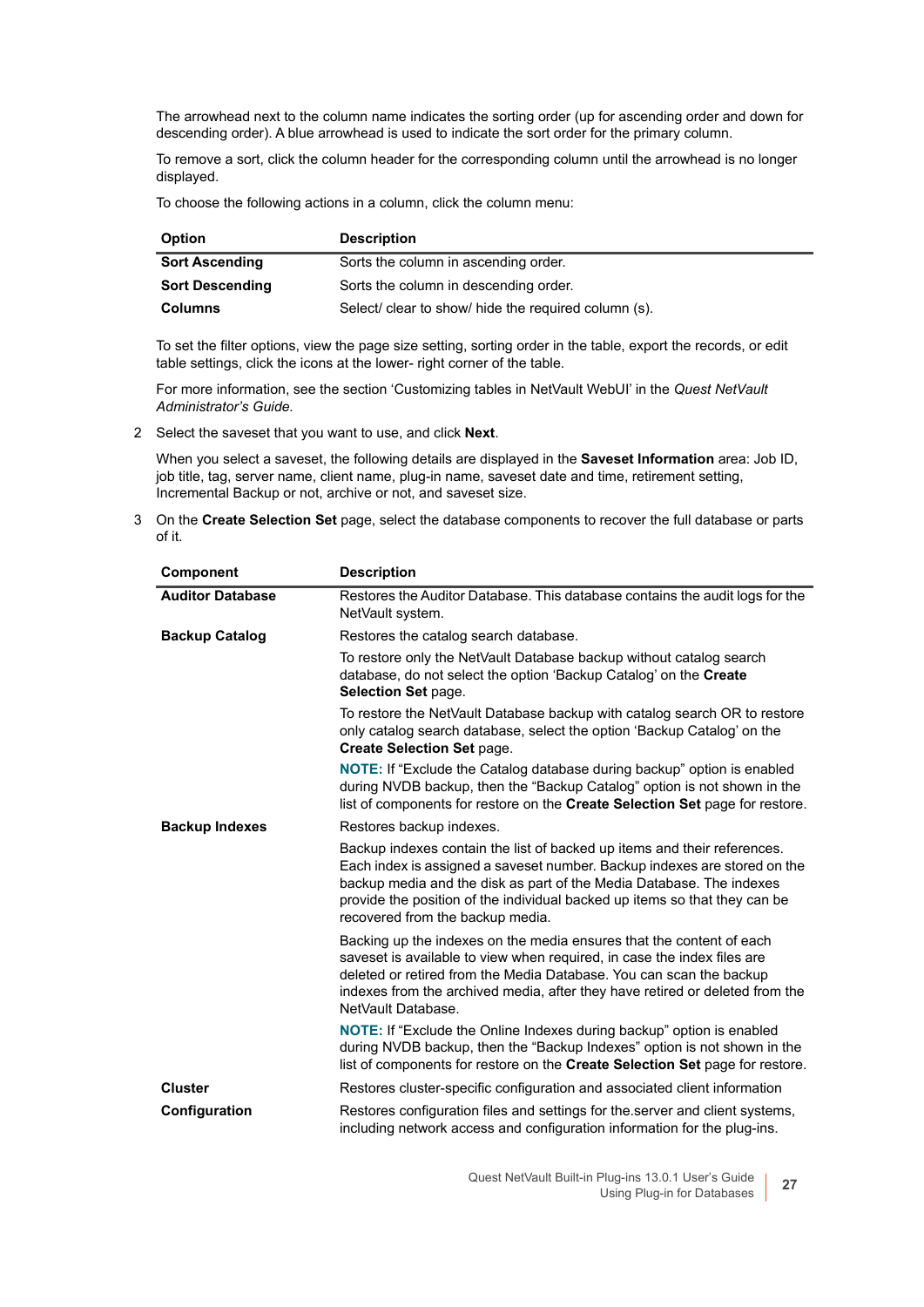The arrowhead next to the column name indicates the sorting order (up for ascending order and down for descending order). A blue arrowhead is used to indicate the sort order for the primary column.

To remove a sort, click the column header for the corresponding column until the arrowhead is no longer displayed.

To choose the following actions in a column, click the column menu:

| <b>Option</b>          | <b>Description</b>                                   |
|------------------------|------------------------------------------------------|
| <b>Sort Ascending</b>  | Sorts the column in ascending order.                 |
| <b>Sort Descending</b> | Sorts the column in descending order.                |
| Columns                | Select/ clear to show/ hide the required column (s). |

To set the filter options, view the page size setting, sorting order in the table, export the records, or edit table settings, click the icons at the lower- right corner of the table.

For more information, see the section 'Customizing tables in NetVault WebUI' in the *Quest NetVault Administrator's Guide.*

<span id="page-26-0"></span>2 Select the saveset that you want to use, and click **Next**.

When you select a saveset, the following details are displayed in the **Saveset Information** area: Job ID, job title, tag, server name, client name, plug-in name, saveset date and time, retirement setting, Incremental Backup or not, archive or not, and saveset size.

3 On the **Create Selection Set** page, select the database components to recover the full database or parts of it.

| <b>Component</b>        | <b>Description</b>                                                                                                                                                                                                                                                                                                                              |
|-------------------------|-------------------------------------------------------------------------------------------------------------------------------------------------------------------------------------------------------------------------------------------------------------------------------------------------------------------------------------------------|
| <b>Auditor Database</b> | Restores the Auditor Database. This database contains the audit logs for the<br>NetVault system.                                                                                                                                                                                                                                                |
| <b>Backup Catalog</b>   | Restores the catalog search database.                                                                                                                                                                                                                                                                                                           |
|                         | To restore only the NetVault Database backup without catalog search<br>database, do not select the option 'Backup Catalog' on the Create<br>Selection Set page.                                                                                                                                                                                 |
|                         | To restore the NetVault Database backup with catalog search OR to restore<br>only catalog search database, select the option 'Backup Catalog' on the<br><b>Create Selection Set page.</b>                                                                                                                                                       |
|                         | <b>NOTE:</b> If "Exclude the Catalog database during backup" option is enabled<br>during NVDB backup, then the "Backup Catalog" option is not shown in the<br>list of components for restore on the <b>Create Selection Set</b> page for restore.                                                                                               |
| <b>Backup Indexes</b>   | Restores backup indexes.                                                                                                                                                                                                                                                                                                                        |
|                         | Backup indexes contain the list of backed up items and their references.<br>Each index is assigned a saveset number. Backup indexes are stored on the<br>backup media and the disk as part of the Media Database. The indexes<br>provide the position of the individual backed up items so that they can be<br>recovered from the backup media. |
|                         | Backing up the indexes on the media ensures that the content of each<br>saveset is available to view when required, in case the index files are<br>deleted or retired from the Media Database. You can scan the backup<br>indexes from the archived media, after they have retired or deleted from the<br>NetVault Database.                    |
|                         | <b>NOTE:</b> If "Exclude the Online Indexes during backup" option is enabled<br>during NVDB backup, then the "Backup Indexes" option is not shown in the<br>list of components for restore on the Create Selection Set page for restore.                                                                                                        |
| <b>Cluster</b>          | Restores cluster-specific configuration and associated client information                                                                                                                                                                                                                                                                       |
| Configuration           | Restores configuration files and settings for the server and client systems,<br>including network access and configuration information for the plug-ins.                                                                                                                                                                                        |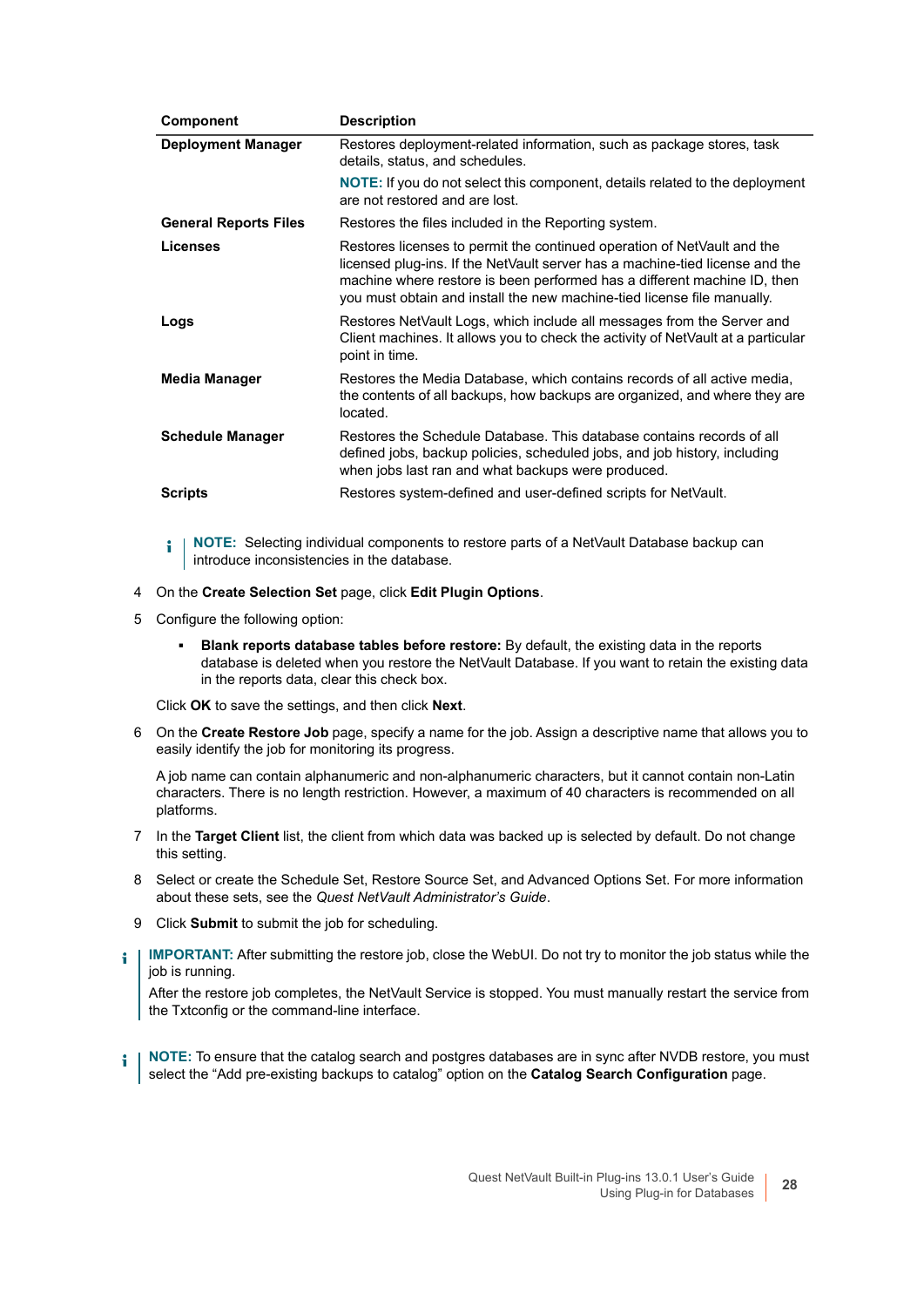| <b>Component</b>             | <b>Description</b>                                                                                                                                                                                                                                                                                             |
|------------------------------|----------------------------------------------------------------------------------------------------------------------------------------------------------------------------------------------------------------------------------------------------------------------------------------------------------------|
| <b>Deployment Manager</b>    | Restores deployment-related information, such as package stores, task<br>details, status, and schedules.                                                                                                                                                                                                       |
|                              | <b>NOTE:</b> If you do not select this component, details related to the deployment<br>are not restored and are lost.                                                                                                                                                                                          |
| <b>General Reports Files</b> | Restores the files included in the Reporting system.                                                                                                                                                                                                                                                           |
| Licenses                     | Restores licenses to permit the continued operation of NetVault and the<br>licensed plug-ins. If the NetVault server has a machine-tied license and the<br>machine where restore is been performed has a different machine ID, then<br>you must obtain and install the new machine-tied license file manually. |
| Logs                         | Restores NetVault Logs, which include all messages from the Server and<br>Client machines. It allows you to check the activity of NetVault at a particular<br>point in time.                                                                                                                                   |
| Media Manager                | Restores the Media Database, which contains records of all active media,<br>the contents of all backups, how backups are organized, and where they are<br>located.                                                                                                                                             |
| <b>Schedule Manager</b>      | Restores the Schedule Database. This database contains records of all<br>defined jobs, backup policies, scheduled jobs, and job history, including<br>when jobs last ran and what backups were produced.                                                                                                       |
| <b>Scripts</b>               | Restores system-defined and user-defined scripts for NetVault.                                                                                                                                                                                                                                                 |

**i** | NOTE: Selecting individual components to restore parts of a NetVault Database backup can introduce inconsistencies in the database.

- 4 On the **Create Selection Set** page, click **Edit Plugin Options**.
- 5 Configure the following option:
	- **▪ Blank reports database tables before restore:** By default, the existing data in the reports database is deleted when you restore the NetVault Database. If you want to retain the existing data in the reports data, clear this check box.

Click **OK** to save the settings, and then click **Next**.

6 On the **Create Restore Job** page, specify a name for the job. Assign a descriptive name that allows you to easily identify the job for monitoring its progress.

A job name can contain alphanumeric and non-alphanumeric characters, but it cannot contain non-Latin characters. There is no length restriction. However, a maximum of 40 characters is recommended on all platforms.

- 7 In the **Target Client** list, the client from which data was backed up is selected by default. Do not change this setting.
- 8 Select or create the Schedule Set, Restore Source Set, and Advanced Options Set. For more information about these sets, see the *Quest NetVault Administrator's Guide*.
- 9 Click **Submit** to submit the job for scheduling.
- **IMPORTANT:** After submitting the restore job, close the WebUI. Do not try to monitor the job status while the f job is running.

After the restore job completes, the NetVault Service is stopped. You must manually restart the service from the Txtconfig or the command-line interface.

**i** | NOTE: To ensure that the catalog search and postgres databases are in sync after NVDB restore, you must select the "Add pre-existing backups to catalog" option on the **Catalog Search Configuration** page.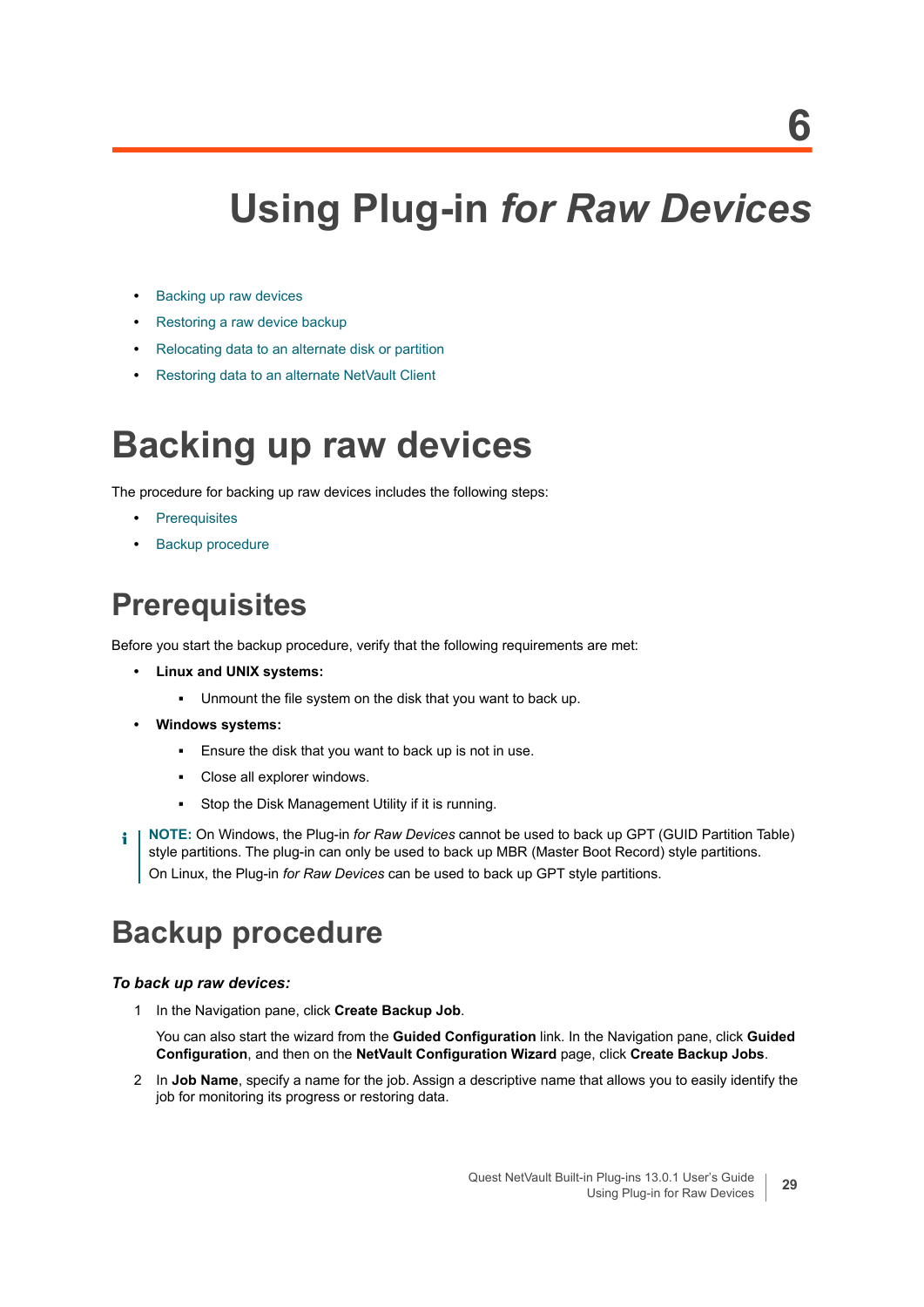## **Using Plug-in** *for Raw Devices*

- <span id="page-28-0"></span>**•** [Backing up raw devices](#page-28-1)
- **•** [Restoring a raw device backup](#page-30-0)
- **•** [Relocating data to an alternate disk or partition](#page-31-0)
- **•** [Restoring data to an alternate NetVault Client](#page-32-0)

### <span id="page-28-1"></span>**Backing up raw devices**

The procedure for backing up raw devices includes the following steps:

- **•** [Prerequisites](#page-28-2)
- **•** [Backup procedure](#page-28-3)

### <span id="page-28-2"></span>**Prerequisites**

Before you start the backup procedure, verify that the following requirements are met:

- **Linux and UNIX systems:**
	- **▪** Unmount the file system on the disk that you want to back up.
- **Windows systems:**
	- **▪** Ensure the disk that you want to back up is not in use.
	- **▪** Close all explorer windows.
	- **▪** Stop the Disk Management Utility if it is running.
- **NOTE:** On Windows, the Plug-in *for Raw Devices* cannot be used to back up GPT (GUID Partition Table) f style partitions. The plug-in can only be used to back up MBR (Master Boot Record) style partitions. On Linux, the Plug-in *for Raw Devices* can be used to back up GPT style partitions.

### <span id="page-28-3"></span>**Backup procedure**

#### *To back up raw devices:*

1 In the Navigation pane, click **Create Backup Job**.

You can also start the wizard from the **Guided Configuration** link. In the Navigation pane, click **Guided Configuration**, and then on the **NetVault Configuration Wizard** page, click **Create Backup Jobs**.

2 In **Job Name**, specify a name for the job. Assign a descriptive name that allows you to easily identify the job for monitoring its progress or restoring data.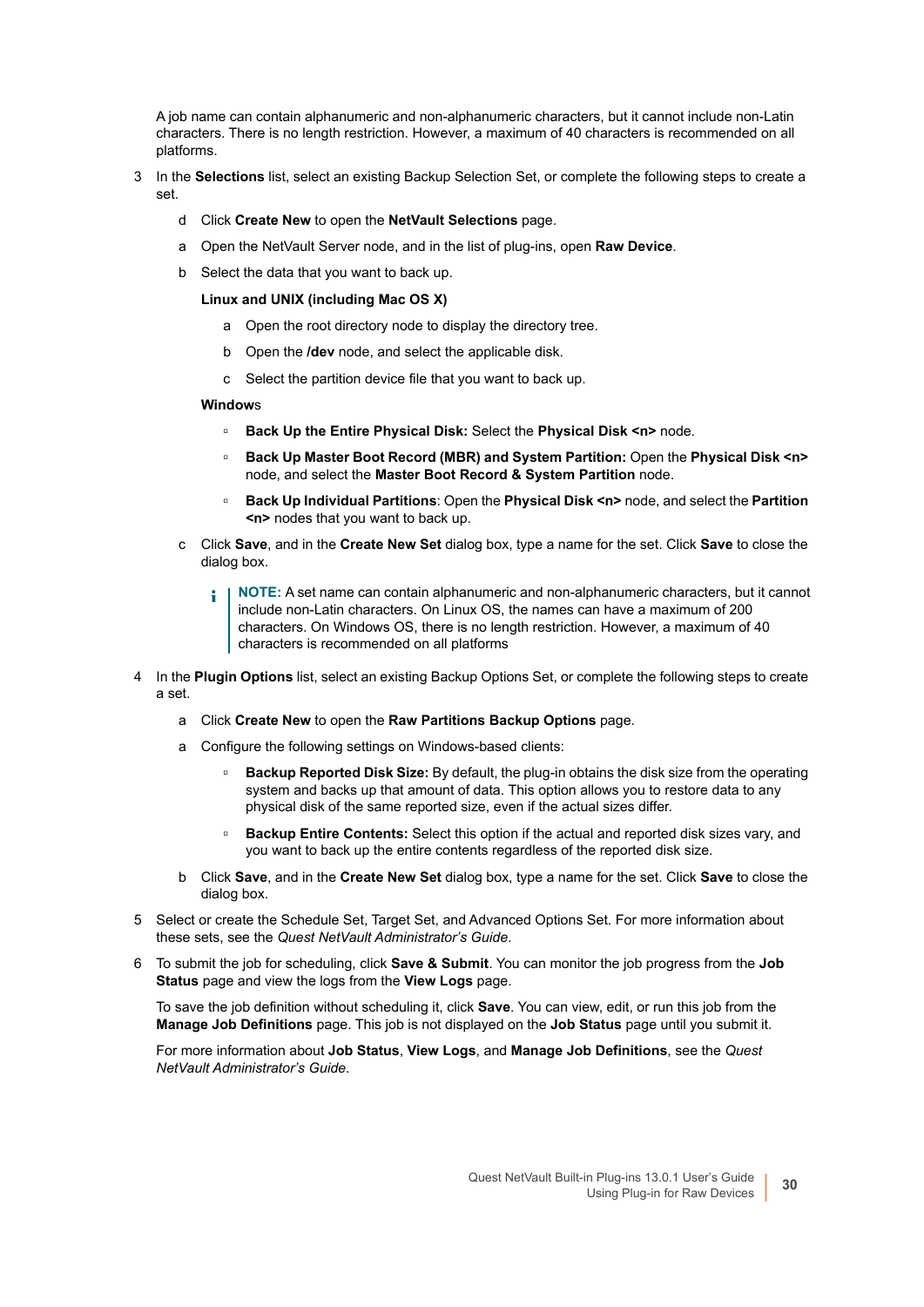A job name can contain alphanumeric and non-alphanumeric characters, but it cannot include non-Latin characters. There is no length restriction. However, a maximum of 40 characters is recommended on all platforms.

- 3 In the **Selections** list, select an existing Backup Selection Set, or complete the following steps to create a set.
	- d Click **Create New** to open the **NetVault Selections** page.
	- a Open the NetVault Server node, and in the list of plug-ins, open **Raw Device**.
	- b Select the data that you want to back up.

#### **Linux and UNIX (including Mac OS X)**

- a Open the root directory node to display the directory tree.
- b Open the **/dev** node, and select the applicable disk.
- c Select the partition device file that you want to back up.

#### **Window**s

- **▫ Back Up the Entire Physical Disk:** Select the **Physical Disk <n>** node.
- **▫ Back Up Master Boot Record (MBR) and System Partition:** Open the **Physical Disk <n>** node, and select the **Master Boot Record & System Partition** node.
- **▫ Back Up Individual Partitions**: Open the **Physical Disk <n>** node, and select the **Partition <n>** nodes that you want to back up.
- c Click **Save**, and in the **Create New Set** dialog box, type a name for the set. Click **Save** to close the dialog box.
	- **NOTE:** A set name can contain alphanumeric and non-alphanumeric characters, but it cannot f include non-Latin characters. On Linux OS, the names can have a maximum of 200 characters. On Windows OS, there is no length restriction. However, a maximum of 40 characters is recommended on all platforms
- 4 In the **Plugin Options** list, select an existing Backup Options Set, or complete the following steps to create a set.
	- a Click **Create New** to open the **Raw Partitions Backup Options** page.
	- a Configure the following settings on Windows-based clients:
		- **▫ Backup Reported Disk Size:** By default, the plug-in obtains the disk size from the operating system and backs up that amount of data. This option allows you to restore data to any physical disk of the same reported size, even if the actual sizes differ.
		- **▫ Backup Entire Contents:** Select this option if the actual and reported disk sizes vary, and you want to back up the entire contents regardless of the reported disk size.
	- b Click **Save**, and in the **Create New Set** dialog box, type a name for the set. Click **Save** to close the dialog box.
- 5 Select or create the Schedule Set, Target Set, and Advanced Options Set. For more information about these sets, see the *Quest NetVault Administrator's Guide*.
- 6 To submit the job for scheduling, click **Save & Submit**. You can monitor the job progress from the **Job Status** page and view the logs from the **View Logs** page.

To save the job definition without scheduling it, click **Save**. You can view, edit, or run this job from the **Manage Job Definitions** page. This job is not displayed on the **Job Status** page until you submit it.

For more information about **Job Status**, **View Logs**, and **Manage Job Definitions**, see the *Quest NetVault Administrator's Guide*.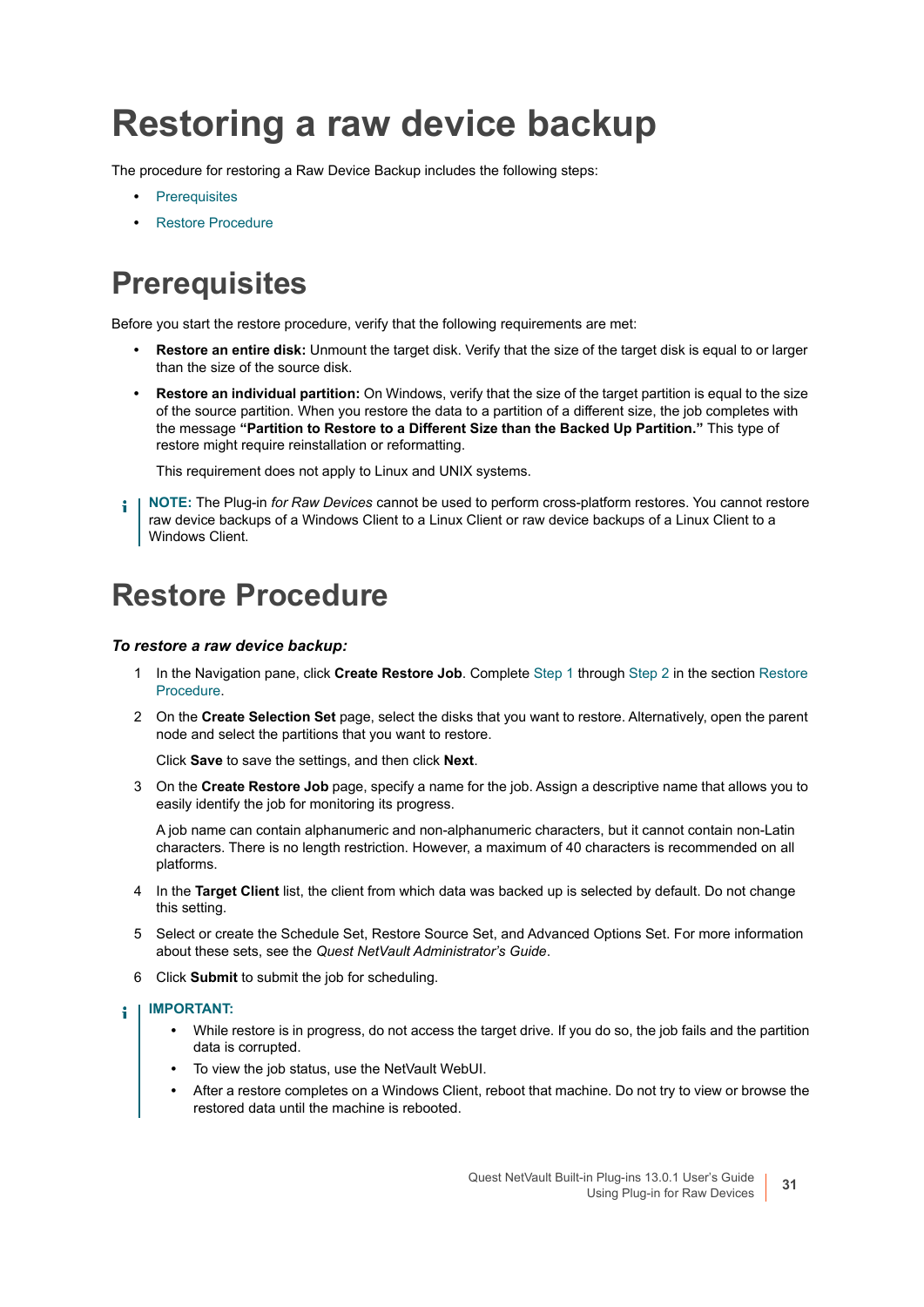## <span id="page-30-0"></span>**Restoring a raw device backup**

The procedure for restoring a Raw Device Backup includes the following steps:

- **•** [Prerequisites](#page-30-1)
- **•** [Restore Procedure](#page-30-2)

### <span id="page-30-1"></span>**Prerequisites**

Before you start the restore procedure, verify that the following requirements are met:

- **Restore an entire disk:** Unmount the target disk. Verify that the size of the target disk is equal to or larger than the size of the source disk.
- **Restore an individual partition:** On Windows, verify that the size of the target partition is equal to the size of the source partition. When you restore the data to a partition of a different size, the job completes with the message **"Partition to Restore to a Different Size than the Backed Up Partition."** This type of restore might require reinstallation or reformatting.

This requirement does not apply to Linux and UNIX systems.

**NOTE:** The Plug-in *for Raw Devices* cannot be used to perform cross-platform restores. You cannot restore ÷ raw device backups of a Windows Client to a Linux Client or raw device backups of a Linux Client to a Windows Client.

### <span id="page-30-2"></span>**Restore Procedure**

#### *To restore a raw device backup:*

- 1 In the Navigation pane, click **Create Restore Job**. Complete [Step 1](#page-25-2) through [Step 2](#page-26-0) in the section [Restore](#page-30-2)  [Procedure](#page-30-2).
- 2 On the **Create Selection Set** page, select the disks that you want to restore. Alternatively, open the parent node and select the partitions that you want to restore.

Click **Save** to save the settings, and then click **Next**.

3 On the **Create Restore Job** page, specify a name for the job. Assign a descriptive name that allows you to easily identify the job for monitoring its progress.

A job name can contain alphanumeric and non-alphanumeric characters, but it cannot contain non-Latin characters. There is no length restriction. However, a maximum of 40 characters is recommended on all platforms.

- 4 In the **Target Client** list, the client from which data was backed up is selected by default. Do not change this setting.
- 5 Select or create the Schedule Set, Restore Source Set, and Advanced Options Set. For more information about these sets, see the *Quest NetVault Administrator's Guide*.
- 6 Click **Submit** to submit the job for scheduling.

#### **IMPORTANT:**  ÷

- **•** While restore is in progress, do not access the target drive. If you do so, the job fails and the partition data is corrupted.
- **•** To view the job status, use the NetVault WebUI.
- **•** After a restore completes on a Windows Client, reboot that machine. Do not try to view or browse the restored data until the machine is rebooted.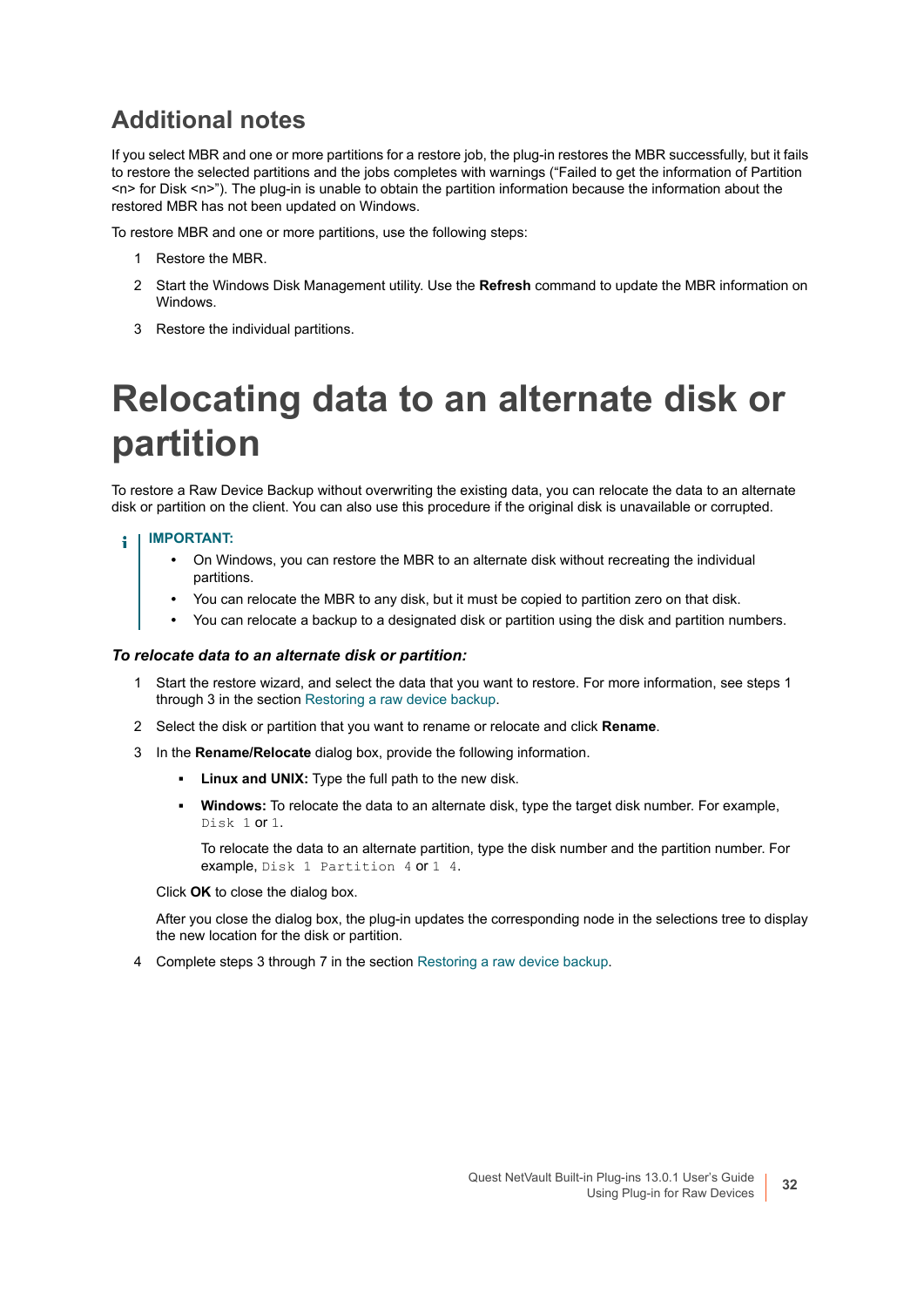### **Additional notes**

If you select MBR and one or more partitions for a restore job, the plug-in restores the MBR successfully, but it fails to restore the selected partitions and the jobs completes with warnings ("Failed to get the information of Partition <n> for Disk <n>"). The plug-in is unable to obtain the partition information because the information about the restored MBR has not been updated on Windows.

To restore MBR and one or more partitions, use the following steps:

- 1 Restore the MBR.
- 2 Start the Windows Disk Management utility. Use the **Refresh** command to update the MBR information on Windows.
- 3 Restore the individual partitions.

## <span id="page-31-0"></span>**Relocating data to an alternate disk or partition**

To restore a Raw Device Backup without overwriting the existing data, you can relocate the data to an alternate disk or partition on the client. You can also use this procedure if the original disk is unavailable or corrupted.

#### **IMPORTANT:**

- **•** On Windows, you can restore the MBR to an alternate disk without recreating the individual partitions.
- **•** You can relocate the MBR to any disk, but it must be copied to partition zero on that disk.
- **•** You can relocate a backup to a designated disk or partition using the disk and partition numbers.

#### *To relocate data to an alternate disk or partition:*

- 1 Start the restore wizard, and select the data that you want to restore. For more information, see steps 1 through 3 in the section [Restoring a raw device backup.](#page-30-0)
- 2 Select the disk or partition that you want to rename or relocate and click **Rename**.
- 3 In the **Rename/Relocate** dialog box, provide the following information.
	- **Linux and UNIX:** Type the full path to the new disk.
	- **▪ Windows:** To relocate the data to an alternate disk, type the target disk number. For example, Disk 1 or 1.

To relocate the data to an alternate partition, type the disk number and the partition number. For example, Disk 1 Partition 4 or 1 4.

#### Click **OK** to close the dialog box.

After you close the dialog box, the plug-in updates the corresponding node in the selections tree to display the new location for the disk or partition.

4 Complete steps 3 through 7 in the section [Restoring a raw device backup.](#page-30-0)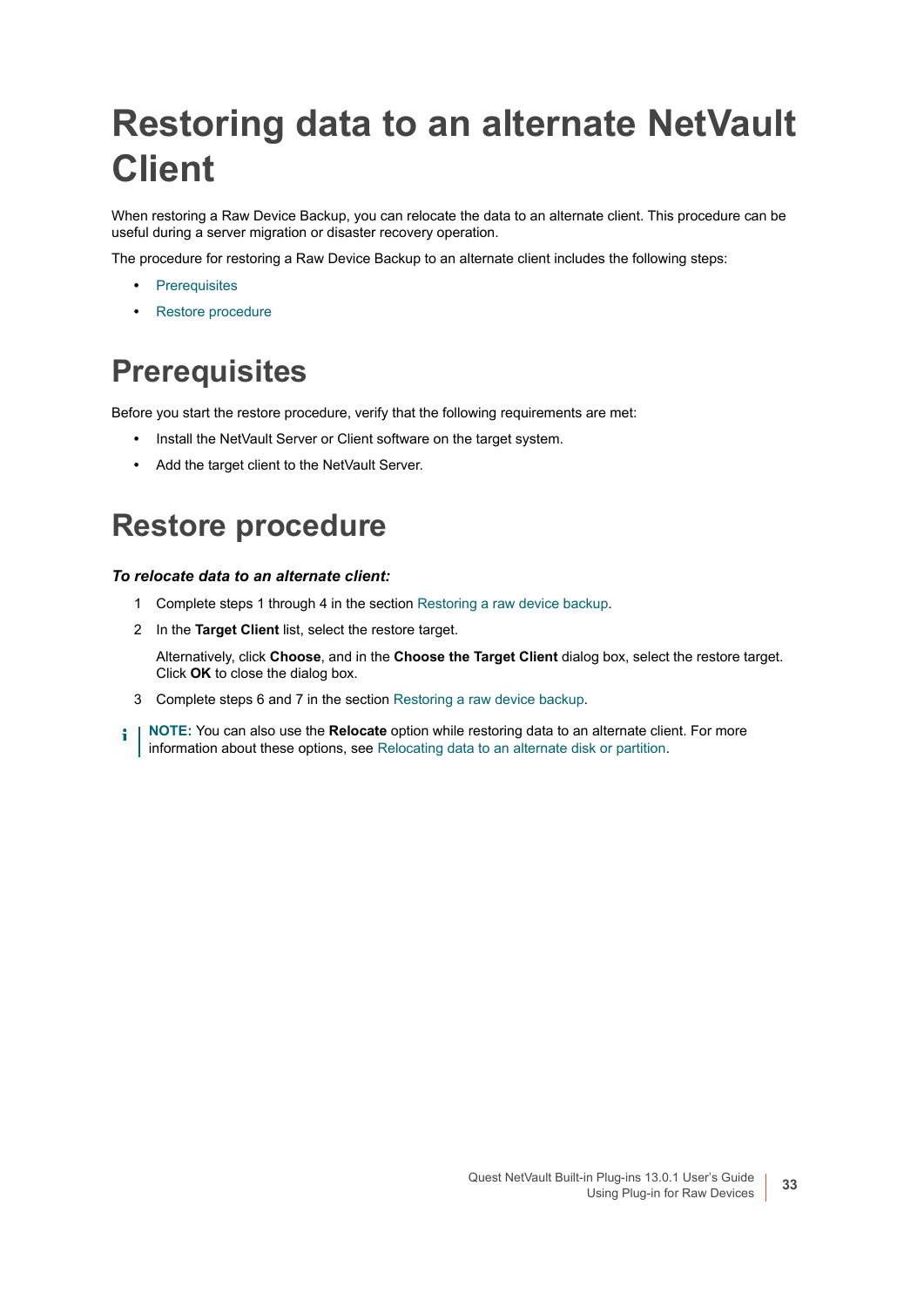## <span id="page-32-0"></span>**Restoring data to an alternate NetVault Client**

When restoring a Raw Device Backup, you can relocate the data to an alternate client. This procedure can be useful during a server migration or disaster recovery operation.

The procedure for restoring a Raw Device Backup to an alternate client includes the following steps:

- **•** [Prerequisites](#page-32-1)
- **•** [Restore procedure](#page-32-2)

### <span id="page-32-1"></span>**Prerequisites**

Before you start the restore procedure, verify that the following requirements are met:

- **•** Install the NetVault Server or Client software on the target system.
- **•** Add the target client to the NetVault Server.

### <span id="page-32-2"></span>**Restore procedure**

### *To relocate data to an alternate client:*

- 1 Complete steps 1 through 4 in the section [Restoring a raw device backup.](#page-30-0)
- 2 In the **Target Client** list, select the restore target.

Alternatively, click **Choose**, and in the **Choose the Target Client** dialog box, select the restore target. Click **OK** to close the dialog box.

- 3 Complete steps 6 and 7 in the section [Restoring a raw device backup](#page-30-0).
- **NOTE:** You can also use the **Relocate** option while restoring data to an alternate client. For more i information about these options, see [Relocating data to an alternate disk or partition](#page-31-0).